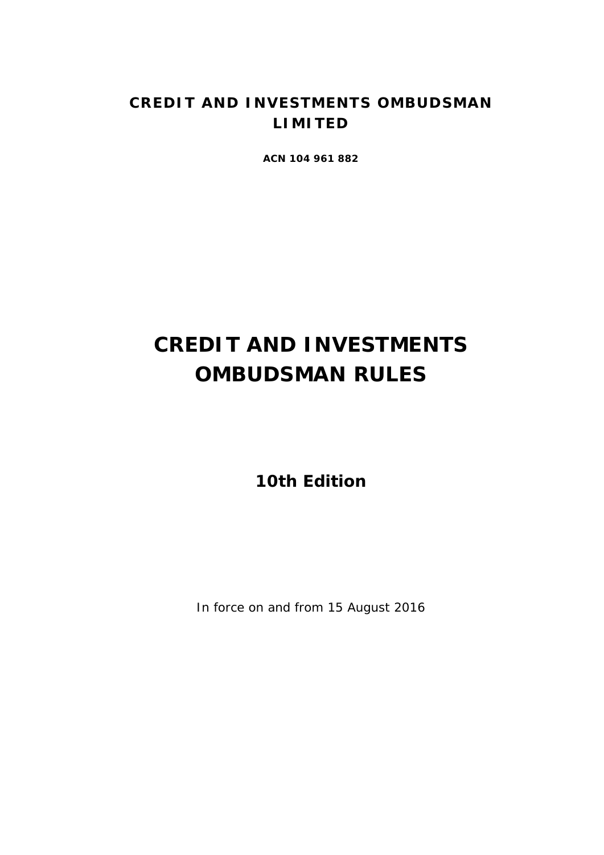# **CREDIT AND INVESTMENTS OMBUDSMAN LIMITED**

**ACN 104 961 882**

# **CREDIT AND INVESTMENTS OMBUDSMAN RULES**

**10th Edition**

In force on and from 15 August 2016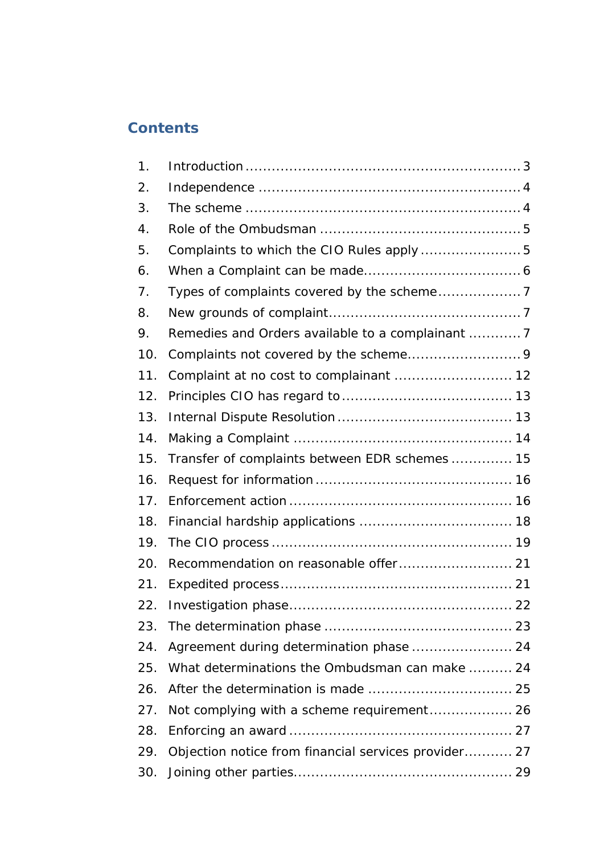# **Contents**

| 1.  |                                                      |  |
|-----|------------------------------------------------------|--|
| 2.  |                                                      |  |
| 3.  |                                                      |  |
| 4.  |                                                      |  |
| 5.  | Complaints to which the CIO Rules apply  5           |  |
| 6.  |                                                      |  |
| 7.  |                                                      |  |
| 8.  |                                                      |  |
| 9.  | Remedies and Orders available to a complainant  7    |  |
| 10. |                                                      |  |
| 11. | Complaint at no cost to complainant  12              |  |
| 12. |                                                      |  |
| 13. |                                                      |  |
| 14. |                                                      |  |
| 15. | Transfer of complaints between EDR schemes 15        |  |
| 16. |                                                      |  |
| 17. |                                                      |  |
| 18. |                                                      |  |
| 19. |                                                      |  |
| 20. |                                                      |  |
| 21. |                                                      |  |
| 22. |                                                      |  |
| 23. |                                                      |  |
| 24. |                                                      |  |
| 25. | What determinations the Ombudsman can make  24       |  |
| 26. |                                                      |  |
| 27. | Not complying with a scheme requirement 26           |  |
| 28. |                                                      |  |
| 29. | Objection notice from financial services provider 27 |  |
| 30. |                                                      |  |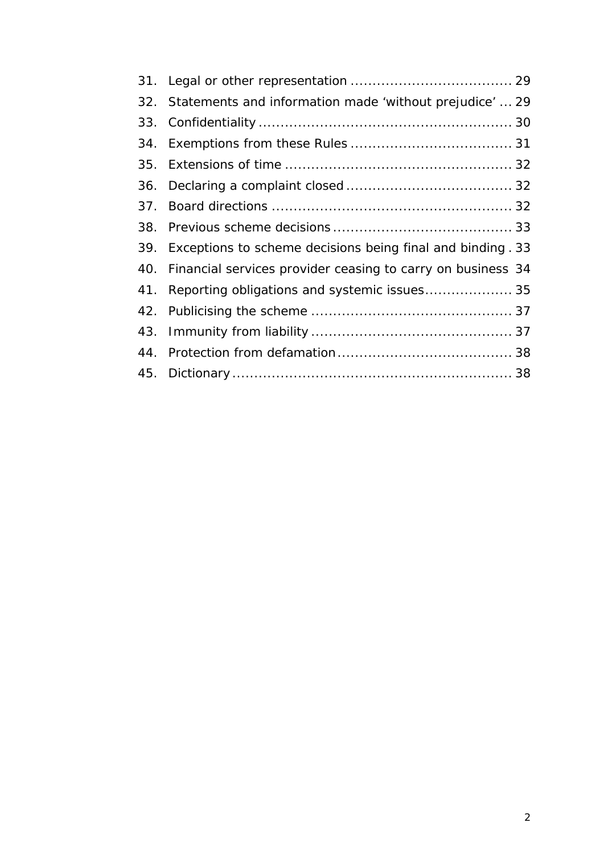| 32. | Statements and information made 'without prejudice'  29         |
|-----|-----------------------------------------------------------------|
|     |                                                                 |
|     |                                                                 |
|     |                                                                 |
|     |                                                                 |
|     |                                                                 |
|     |                                                                 |
|     | 39. Exceptions to scheme decisions being final and binding. 33  |
|     | 40. Financial services provider ceasing to carry on business 34 |
|     | 41. Reporting obligations and systemic issues 35                |
|     |                                                                 |
|     |                                                                 |
|     |                                                                 |
|     |                                                                 |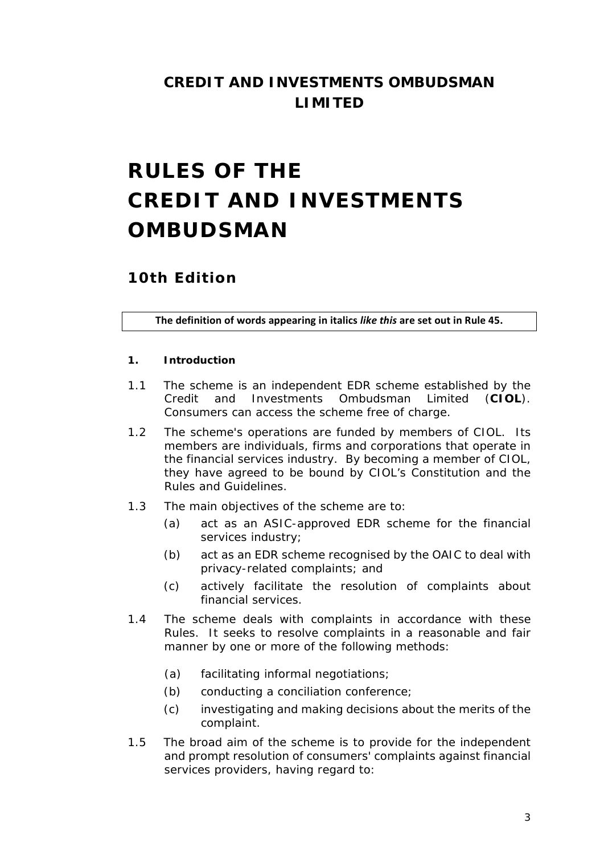# **CREDIT AND INVESTMENTS OMBUDSMAN LIMITED**

# **RULES OF THE CREDIT AND INVESTMENTS OMBUDSMAN**

# **10th Edition**

**The definition of words appearing in italics** *like this* **are set out in Rule 45.**

#### <span id="page-3-0"></span>**1. Introduction**

- 1.1 The *scheme* is an independent *EDR scheme* established by the Credit and Investments Ombudsman Limited (**CIOL**). *Consumers* can access the *scheme* free of charge.
- 1.2 The *scheme's* operations are funded by members of *CIOL*. Its members are individuals, firms and corporations that operate in the *financial services industry*. By becoming a member of *CIOL*, they have agreed to be bound by *CIOL*'s Constitution and the *Rules* and *Guidelines*.
- 1.3 The main objectives of the *scheme* are to:
	- (a) act as an *ASIC*-approved *EDR scheme* for the *financial services industry*;
	- (b) act as an *EDR scheme* recognised by the *OAIC* to *deal with*  privacy-related *complaints*; and
	- (c) actively facilitate the resolution of *complaint*s about *financial services*.
- 1.4 The *scheme deals with complaint*s in accordance with *these Rules*. It seeks to resolve *complaint*s in a reasonable and fair manner by one or more of the following methods:
	- (a) facilitating informal negotiations;
	- (b) conducting a *conciliation conference*;
	- (c) investigating and making *decisions* about the merits of the *complaint*.
- 1.5 The broad aim of the *scheme* is to provide for the independent and prompt resolution of *consumers'* complaints against *financial services providers*, having regard to: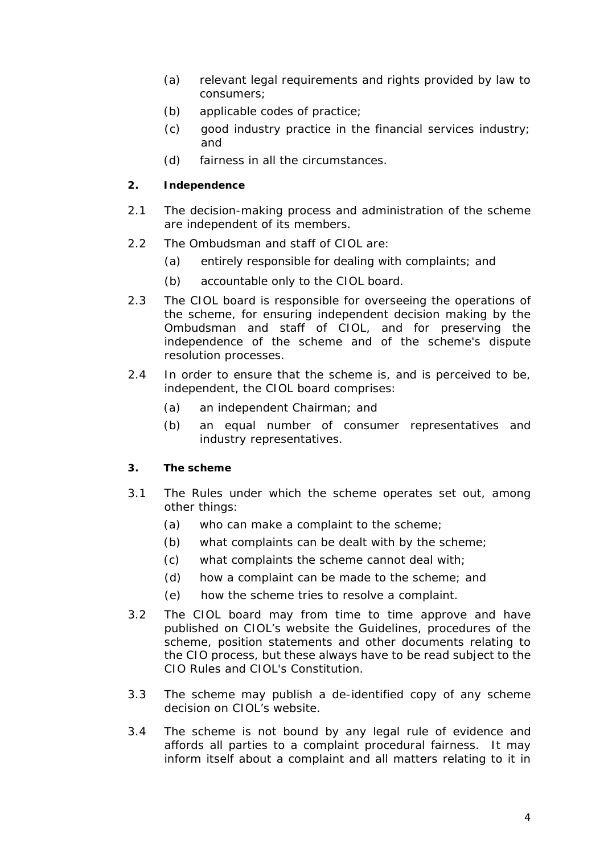- (a) relevant legal requirements and rights provided by law to *consumers*;
- (b) *applicable codes of practice*;
- (c) good industry practice in the *financial services industry*; and
- (d) fairness in all the circumstances.

### <span id="page-4-0"></span>**2. Independence**

- 2.1 The decision-making process and administration of the *scheme* are independent of its members.
- 2.2 The *Ombudsman* and staff of *CIOL* are:
	- (a) entirely responsible for *dealing with complaint*s; and
	- (b) accountable only to the *CIOL board*.
- 2.3 The *CIOL board* is responsible for overseeing the operations of the scheme, for ensuring independent decision making by the *Ombudsman* and staff of *CIOL*, and for preserving the independence of the scheme and of the *scheme's* dispute resolution processes.
- 2.4 In order to ensure that the *scheme* is, and is perceived to be, independent, the *CIOL board* comprises:
	- (a) an independent Chairman; and
	- (b) an equal number of *consumer representative*s and *industry representatives*.

#### <span id="page-4-1"></span>**3. The scheme**

- 3.1 The *Rules* under which the *scheme* operates set out, among other things:
	- (a) who can make a *complaint* to the *scheme*;
	- (b) what *complaint*s can be *dealt with* by the *scheme*;
	- (c) what *complaint*s the *scheme* cannot *deal with*;
	- (d) how a *complaint* can be made to the *scheme*; and
	- (e) how the *scheme* tries to resolve a *complaint*.
- 3.2 The *CIOL board* may from time to time approve and have published on *CIOL*'s *website* the *Guidelines*, procedures of the *scheme*, position statements and other documents relating to the *CIO process*, but these always have to be read subject to the *CIO Rules* and *CIOL's* Constitution.
- 3.3 The *scheme* may publish a de-identified copy of any *scheme decision* on *CIOL*'s *website.*
- 3.4 The *scheme* is not bound by any legal rule of evidence and affords all parties to a *complaint* procedural fairness. It may inform itself about a *complaint* and all matters relating to it in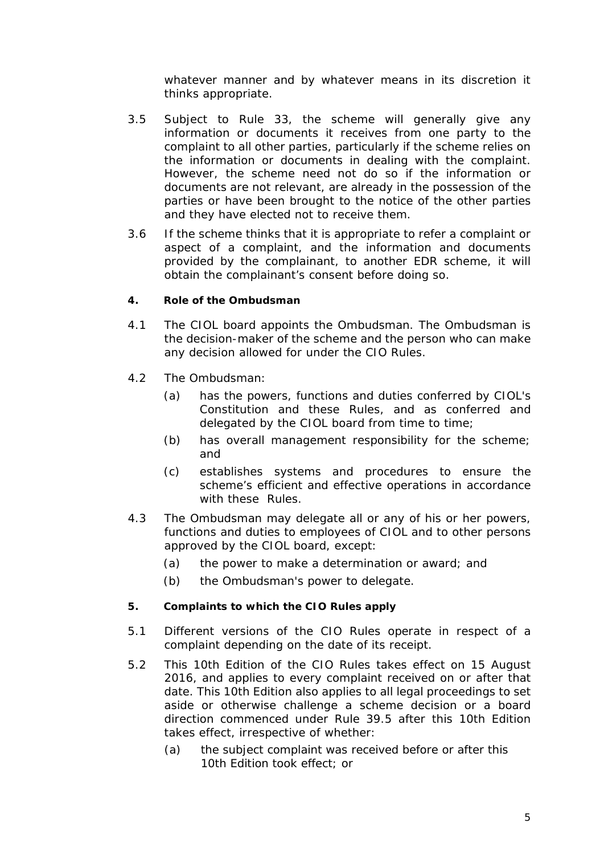whatever manner and by whatever means in its discretion it thinks appropriate.

- 3.5 Subject to *Rule* 33, the *scheme* will generally give any information or documents it receives from one party to the *complaint* to all other parties, particularly if the *scheme* relies on the information or documents in *dealing with* the *complaint*. However, the *scheme* need not do so if the information or documents are not relevant, are already in the possession of the parties or have been brought to the notice of the other parties and they have elected not to receive them.
- 3.6 If the *scheme* thinks that it is appropriate to refer a *complaint* or aspect of a *complaint*, and the information and documents provided by the *complainant*, to another *EDR scheme*, it will obtain the *complainant*'s consent before doing so.

# <span id="page-5-0"></span>**4. Role of the Ombudsman**

- 4.1 The *CIOL board* appoints the *Ombudsman*. The *Ombudsman* is the decision-maker of the *scheme* and the person who can make any *decision* allowed for under the *CIO Rules*.
- 4.2 The *Ombudsman*:
	- (a) has the powers, functions and duties conferred by *CIOL's* Constitution and *these Rules*, and as conferred and delegated by the *CIOL board* from time to time;
	- (b) has overall management responsibility for the *scheme*; and
	- (c) establishes systems and procedures to ensure the *scheme*'s efficient and effective operations in accordance with *these Rules.*
- 4.3 The *Ombudsman* may delegate all or any of his or her powers, functions and duties to employees of *CIOL* and to other persons approved by the *CIOL board*, except:
	- (a) the power to make a *determination* or *award*; and
	- (b) the *Ombudsman*'s power to delegate.

#### <span id="page-5-1"></span>**5. Complaints to which the CIO Rules apply**

- 5.1 Different versions of the *CIO Rules* operate in respect of a *complaint* depending on the date of its receipt.
- 5.2 This 10th Edition of the *CIO Rules* takes effect on 15 August 2016, and applies to every *complaint* received on or after that date. This 10th Edition also applies to all legal proceedings to set aside or otherwise challenge a *scheme decision* or a *board direction* commenced under *Rule* 39.5 after this 10th Edition takes effect, irrespective of whether:
	- (a) the subject *complaint* was received before or after this 10th Edition took effect; or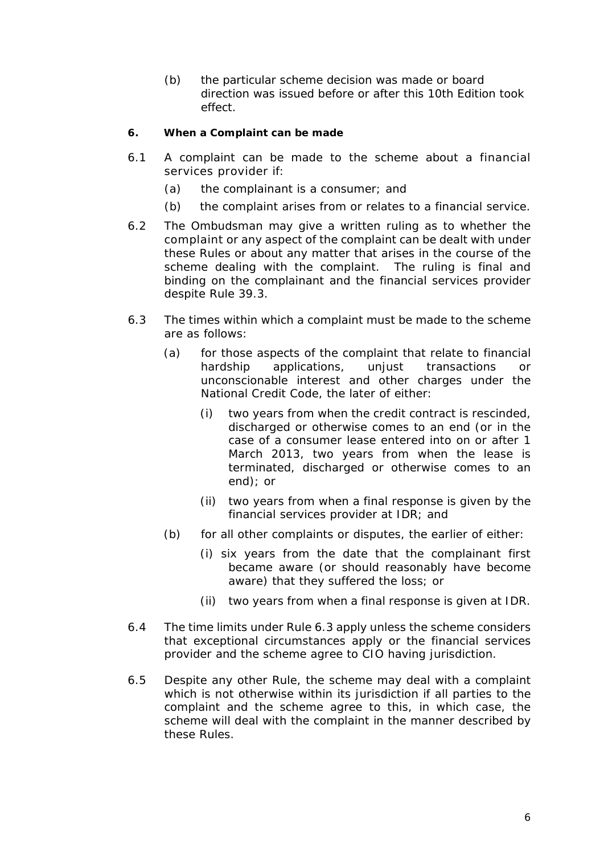(b) the particular *scheme decision* was made or *board direction* was issued before or after this 10th Edition took effect.

### <span id="page-6-0"></span>**6. When a Complaint can be made**

- 6.1 A *complaint* can be made to the *scheme* about a *financial services provider* if:
	- (a) the *complainant* is a *consumer*; and
	- (b) the *complaint* arises from or relates to a *financial service*.
- 6.2 The *Ombudsman* may give a written *ruling* as to whether the *complaint* or any aspect of the *complaint* can be *dealt with* under *these Rules* or about any matter that arises in the course of the *scheme dealing with* the *complaint*. The *ruling* is final and binding on the *complainant* and the *financial services provider* despite *Rule* 39.3.
- 6.3 The times within which a *complaint* must be made to the *scheme* are as follows:
	- (a) for those aspects of the *complaint* that relate to *financial hardship applications*, unjust transactions or unconscionable interest and other charges under the National Credit Code, the later of either:
		- (i) two years from when the *credit contract* is rescinded, discharged or otherwise comes to an end (or in the case of a *consumer lease* entered into on or after 1 March 2013, two years from when the lease is terminated, discharged or otherwise comes to an end); or
		- (ii) two years from when a *final response* is given by the *financial services provider* at *IDR*; and
	- (b) for all other *complaints* or disputes, the earlier of either:
		- (i) six years from the date that the *complainant* first became aware (or should reasonably have become aware) that they suffered the loss; or
		- (ii) two years from when a *final response* is given at *IDR*.
- 6.4 The time limits under *Rule* 6.3 apply unless the *scheme* considers that exceptional circumstances apply or the *financial services provider* and the *scheme* agree to *CIO* having jurisdiction.
- 6.5 Despite any other *Rule*, the *scheme* may *deal with* a *complaint* which is not otherwise within its jurisdiction if all parties to the *complaint* and the *scheme* agree to this, in which case, the *scheme* will *deal with the complaint* in the manner described by *these Rules*.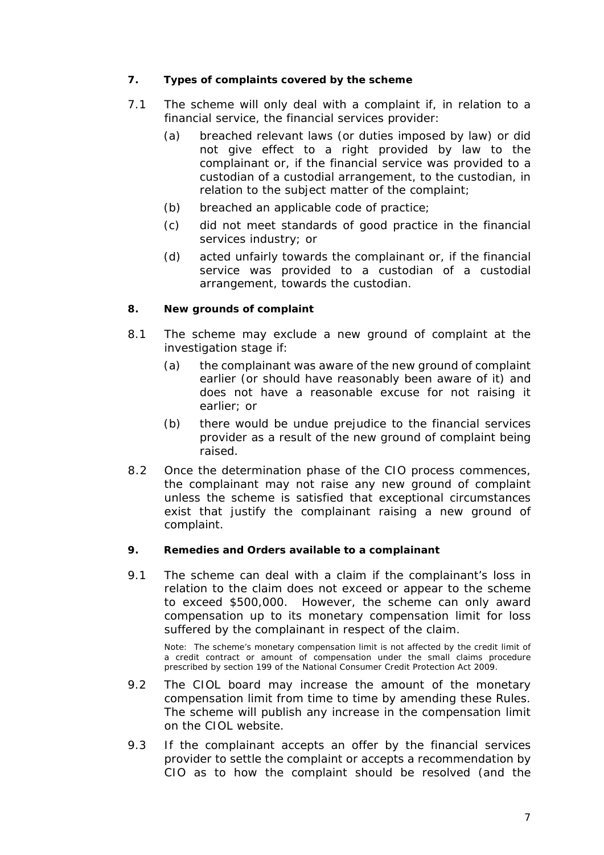# <span id="page-7-0"></span>**7. Types of complaints covered by the scheme**

- 7.1 The *scheme* will only *deal with* a *complaint* if, in relation to a *financial service*, the *financial services provider*:
	- (a) breached relevant laws (or duties imposed by law) or did not give effect to a right provided by law to the *complainant* or, if the *financial service* was provided to a *custodian* of a *custodial arrangement*, to the *custodian,* in relation to the subject matter of the *complaint*;
	- (b) breached an *applicable code of practice*;
	- (c) did not meet standards of good practice in the *financial services industry*; or
	- (d) acted unfairly towards the *complainant* or, if the *financial service* was provided to a *custodian* of a *custodial arrangement*, towards the *custodian*.

#### <span id="page-7-1"></span>**8. New grounds of complaint**

- 8.1 The *scheme* may exclude a new ground of *complaint* at the *investigation stage* if:
	- (a) the *complainant* was aware of the new ground of *complaint* earlier (or should have reasonably been aware of it) and does not have a reasonable excuse for not raising it earlier; or
	- (b) there would be undue prejudice to the *financial services provider* as a result of the new ground of *complaint* being raised.
- 8.2 Once the *determination phase* of the *CIO process* commences, the *complainant* may not raise any new ground of complaint unless the *scheme* is satisfied that exceptional circumstances exist that justify the *complainant* raising a new ground of complaint.

#### <span id="page-7-2"></span>**9. Remedies and Orders available to a complainant**

9.1 The *scheme* can *deal with* a *claim* if the *complainant*'s loss in relation to the *claim* does not exceed or appear to the *scheme* to exceed \$500,000. However, the *scheme* can only award compensation up to its *monetary compensation limit* for loss suffered by the *complainant* in respect of the *claim*.

Note: The *scheme*'s *monetary compensation limit* is not affected by the credit limit of a *credit contract* or amount of compensation under the small claims procedure prescribed by section 199 of the National Consumer Credit Protection Act 2009.

- 9.2 The *CIOL board* may increase the amount of the *monetary compensation limit* from time to time by amending *these Rules*. The *scheme* will publish any increase in the compensation limit on the *CIOL website*.
- 9.3 If the *complainant* accepts an offer by the *financial services provider* to settle the *complaint* or accepts a *recommendation* by *CIO* as to how the *complaint* should be resolved (and the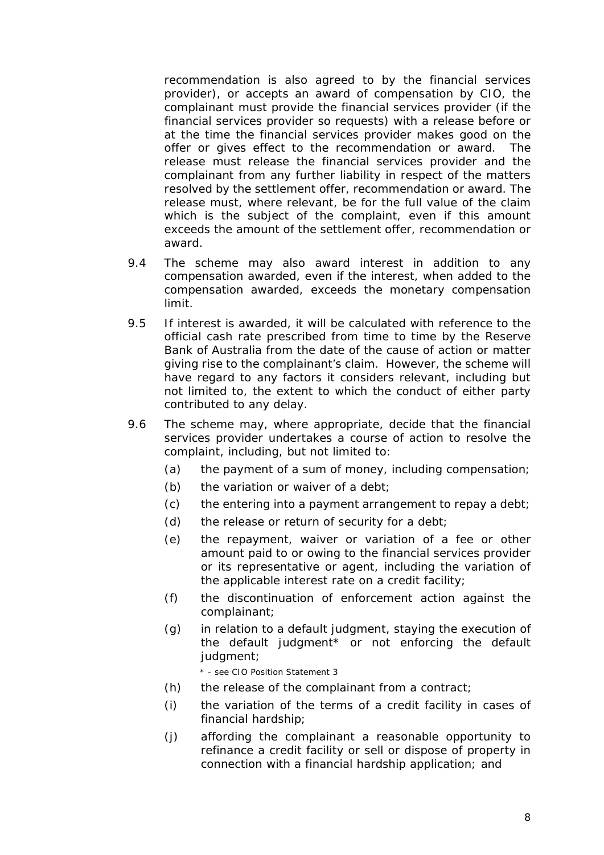*recommendation* is also agreed to by the *financial services provider*), or accepts an *award* of compensation by *CIO*, the *complainant* must provide the *financial services provider* (if the *financial services provider* so requests) with a release before or at the time the *financial services provider* makes good on the offer or gives effect to the *recommendation* or *award*. The release must release the *financial services provider* and the *complainant* from any further liability in respect of the matters resolved by the settlement offer, *recommendation* or award. The release must, where relevant, be for the full value of the *claim* which is the subject of the *complaint*, even if this amount exceeds the amount of the settlement offer, *recommendation* or *award*.

- 9.4 The *scheme* may also award interest in addition to any compensation awarded, even if the interest, when added to the compensation awarded, exceeds the *monetary compensation limit*.
- 9.5 If interest is awarded, it will be calculated with reference to the official cash rate prescribed from time to time by the Reserve Bank of Australia from the date of the cause of action or matter giving rise to the *complainant*'s *claim.* However, the *scheme* will have regard to any factors it considers relevant, including but not limited to, the extent to which the conduct of either party contributed to any delay.
- 9.6 The *scheme* may, where appropriate, decide that the *financial services provider* undertakes a course of action to resolve the *complaint*, including, but not limited to:
	- (a) the payment of a sum of money, including compensation;
	- (b) the variation or waiver of a debt;
	- (c) the entering into a payment arrangement to repay a debt;
	- (d) the release or return of security for a debt;
	- (e) the repayment, waiver or variation of a fee or other amount paid to or owing to the *financial services provider* or its representative or agent, including the variation of the applicable interest rate on a *credit facility*;
	- (f) the discontinuation of *enforcement action* against the *complainant*;
	- (g) in relation to a default judgment, staying the execution of the default judgment\* or not enforcing the default judgment;

\* - see CIO Position Statement 3

- (h) the release of the *complainant* from a contract;
- (i) the variation of the terms of a *credit facility* in cases of financial hardship;
- (j) affording the *complainant* a reasonable opportunity to refinance a *credit facility* or sell or dispose of property in connection with a *financial hardship application*; and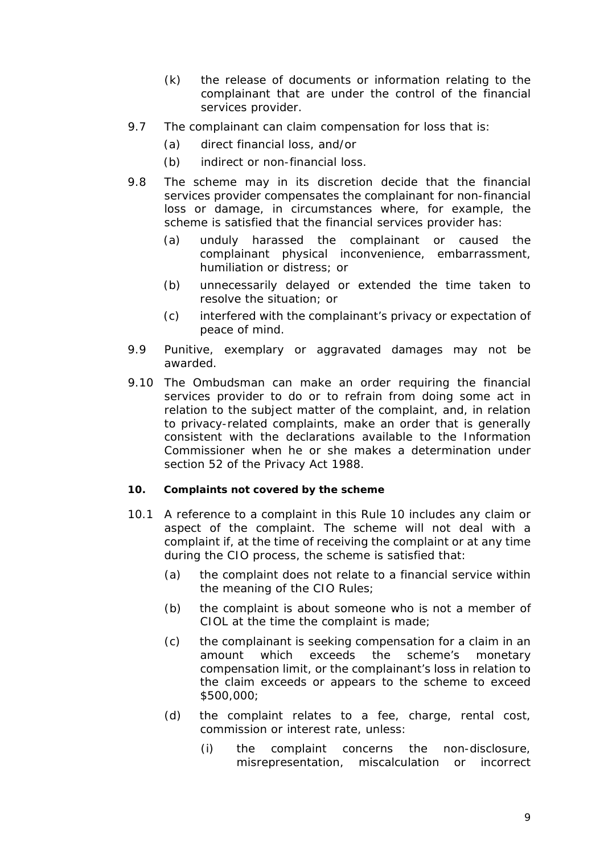- (k) the release of documents or information relating to the *complainant* that are under the control of the *financial services provider*.
- 9.7 The *complainant* can claim compensation for loss that is:
	- (a) direct financial loss, and/or
	- (b) indirect or non-financial loss.
- 9.8 The *scheme* may in its discretion decide that the *financial services provider* compensates the *complainant* for non-financial loss or damage, in circumstances where, for example, the *scheme* is satisfied that the *financial services provider* has:
	- (a) unduly harassed the *complainant* or caused the *complainant* physical inconvenience, embarrassment, humiliation or distress; or
	- (b) unnecessarily delayed or extended the time taken to resolve the situation; or
	- (c) interfered with the *complainant*'s privacy or expectation of peace of mind.
- 9.9 Punitive, exemplary or aggravated damages may not be awarded.
- 9.10 The *Ombudsman* can make an *order* requiring the *financial services provider* to do or to refrain from doing some act in relation to the subject matter of the *complaint*, and, in relation to privacy-related *complaints*, make an *order* that is generally consistent with the declarations available to the Information Commissioner when he or she makes a determination under section 52 of the Privacy Act 1988.

#### <span id="page-9-0"></span>**10. Complaints not covered by the scheme**

- 10.1 A reference to a *complaint* in this *Rule* 10 includes any *claim* or aspect of the *complaint*. The *scheme* will not *deal with* a *complaint* if, at the time of receiving the *complaint* or at any time during the *CIO process*, the *scheme* is satisfied that:
	- (a) the *complaint* does not relate to a *financial service* within the meaning of the *CIO Rules*;
	- (b) the *complaint* is about someone who is not a member of *CIOL* at the time the *complaint* is made;
	- (c) the *complainant* is seeking compensation for a *claim* in an amount which exceeds the *scheme*'s *monetary compensation limit*, or the *complainant*'s loss in relation to the *claim* exceeds or appears to the *scheme* to exceed \$500,000;
	- (d) the *complaint* relates to a fee, charge, rental cost, commission or interest rate, unless:
		- (i) the *complaint* concerns the non-disclosure, misrepresentation, miscalculation or incorrect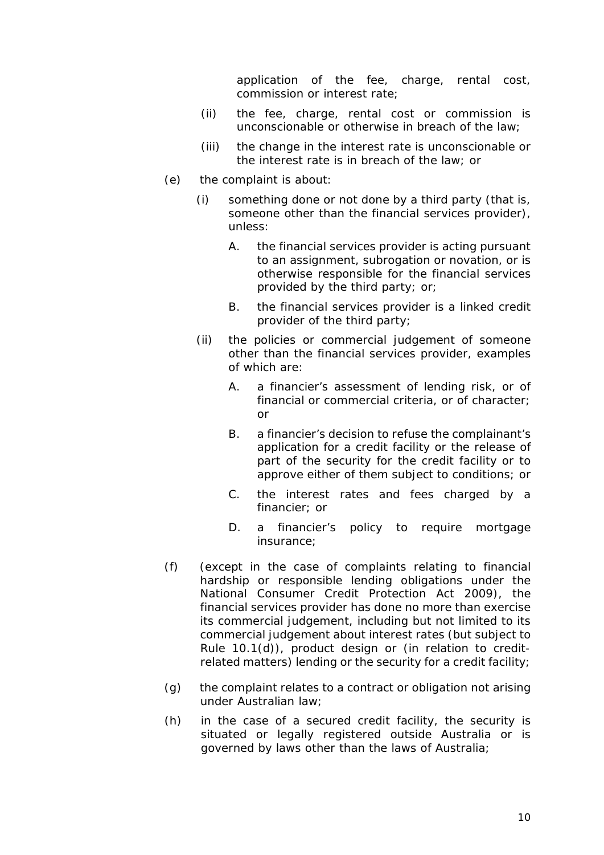application of the fee, charge, rental cost, commission or interest rate;

- (ii) the fee, charge, rental cost or commission is unconscionable or otherwise in breach of the law;
- (iii) the change in the interest rate is unconscionable or the interest rate is in breach of the law; or
- (e) the *complaint* is about:
	- (i) something done or not done by a third party (that is, someone other than the *financial services provider*), unless:
		- A. the *financial services provider* is acting pursuant to an assignment, subrogation or novation, or is otherwise responsible for the *financial services* provided by the third party; or;
		- B. the *financial services provider* is a *linked credit provider* of the third party;
	- (ii) the policies or commercial judgement of someone other than the *financial services provider*, examples of which are:
		- A. a *financier's* assessment of lending risk, or of financial or commercial criteria, or of character; or
		- B. a *financier's* decision to refuse the *complainant*'s application for a *credit facility* or the release of part of the security for the *credit facility* or to approve either of them subject to conditions; or
		- C. the interest rates and fees charged by a *financier*; or
		- D. a *financier's* policy to require mortgage insurance;
- (f) (except in the case of *complaint*s relating to financial hardship or responsible lending obligations under the National Consumer Credit Protection Act 2009), the *financial services provider* has done no more than exercise its commercial judgement, including but not limited to its commercial judgement about interest rates (but subject to *Rule* 10.1(d)), product design or (in relation to creditrelated matters) lending or the security for a *credit facility*;
- (g) the *complaint* relates to a contract or obligation not arising under Australian law;
- (h) in the case of a secured *credit facility*, the security is situated or legally registered outside Australia or is governed by laws other than the laws of Australia;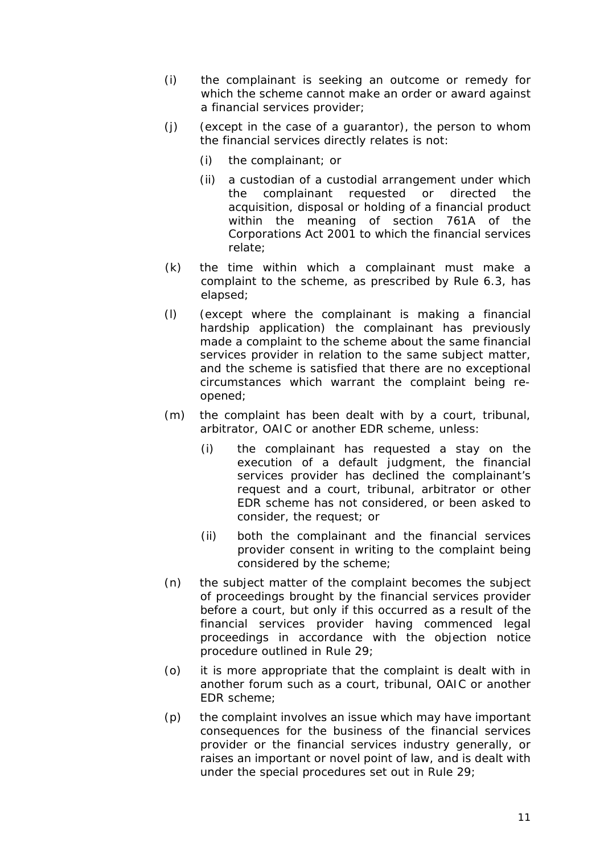- (i) the *complainant* is seeking an outcome or remedy for which the *scheme* cannot make an *order* or *award* against a *financial services provider*;
- (j) (except in the case of a guarantor), the person to whom the *financial services* directly relates is not:
	- (i) the *complainant*; or
	- (ii) a *custodian* of a *custodial arrangement* under which the *complainant* requested or directed the acquisition, disposal or holding of a financial product within the meaning of section 761A of the Corporations Act 2001 to which the *financial services* relate;
- (k) the time within which a *complainant* must make a *complaint* to the *scheme*, as prescribed by *Rule* 6.3, has elapsed;
- (l) (except where the *complainant* is making a *financial hardship application*) the *complainant* has previously made a *complaint* to the *scheme* about the same *financial services provider* in relation to the same subject matter, and the *scheme* is satisfied that there are no exceptional circumstances which warrant the *complaint* being reopened;
- (m) the *complaint* has been dealt with by a court, tribunal, arbitrator, *OAIC* or another *EDR scheme*, unless:
	- (i) the *complainant* has requested a stay on the execution of a default judgment, the *financial services provider* has declined the *complainant*'s request and a court, tribunal, arbitrator or other *EDR scheme* has not considered, or been asked to consider, the request; or
	- (ii) both the *complainant* and the *financial services provider* consent in writing to the *complaint* being considered by the *scheme*;
- (n) the subject matter of the *complaint* becomes the subject of proceedings brought by the *financial services provider* before a court, but only if this occurred as a result of the *financial services provider* having commenced legal proceedings in accordance with the *objection notice* procedure outlined in *Rule* 29;
- (o) it is more appropriate that the *complaint* is dealt with in another forum such as a court, tribunal, *OAIC* or another *EDR scheme*;
- (p) the *complaint* involves an issue which may have important consequences for the business of the *financial services provider* or the *financial services industry* generally, or raises an important or novel point of law, and is *dealt with* under the special procedures set out in *Rule* 29;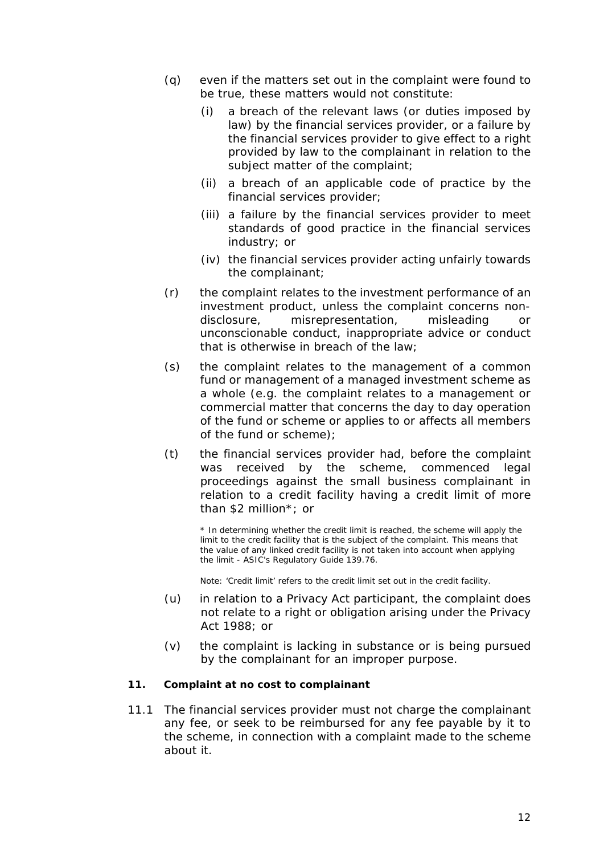- (q) even if the matters set out in the *complaint* were found to be true, these matters would not constitute:
	- (i) a breach of the relevant laws (or duties imposed by law) by the *financial services provider*, or a failure by the *financial services provider* to give effect to a right provided by law to the *complainant* in relation to the subject matter of the *complaint*;
	- (ii) a breach of an *applicable code of practice* by the *financial services provider*;
	- (iii) a failure by the *financial services provider* to meet standards of good practice in the *financial services industry*; or
	- (iv) the *financial services provider* acting unfairly towards the *complainant*;
- (r) the *complaint* relates to the investment performance of an investment product, unless the *complaint* concerns nondisclosure, misrepresentation, misleading or unconscionable conduct, inappropriate advice or conduct that is otherwise in breach of the law;
- (s) the *complaint* relates to the management of a common fund or management of a managed investment scheme as a whole (e.g. the *complaint* relates to a management or commercial matter that concerns the day to day operation of the fund or scheme or applies to or affects all members of the fund or scheme);
- (t) the *financial services provider* had, before the *complaint* was received by the *scheme*, commenced legal proceedings against the *small business complainant* in relation to a *credit facility* having a credit limit of more than \$2 million\*; or

\* In determining whether the credit limit is reached, the *scheme* will apply the limit to the *credit facility* that is the subject of the *complaint.* This means that the value of any linked *credit facility* is not taken into account when applying the limit - *ASIC's* Regulatory Guide 139.76.

Note: 'Credit limit' refers to the credit limit set out in the *credit facility*.

- (u) in relation to a *Privacy Act participant,* the *complaint* does not relate to a right or obligation arising under the Privacy Act 1988; or
- (v) the *complaint* is lacking in substance or is being pursued by the *complainant* for an improper purpose.

#### <span id="page-12-0"></span>**11. Complaint at no cost to** *complainant*

11.1 The *financial services provider* must not charge the *complainant* any fee, or seek to be reimbursed for any fee payable by it to the *scheme*, in connection with a *complaint* made to the *scheme* about it.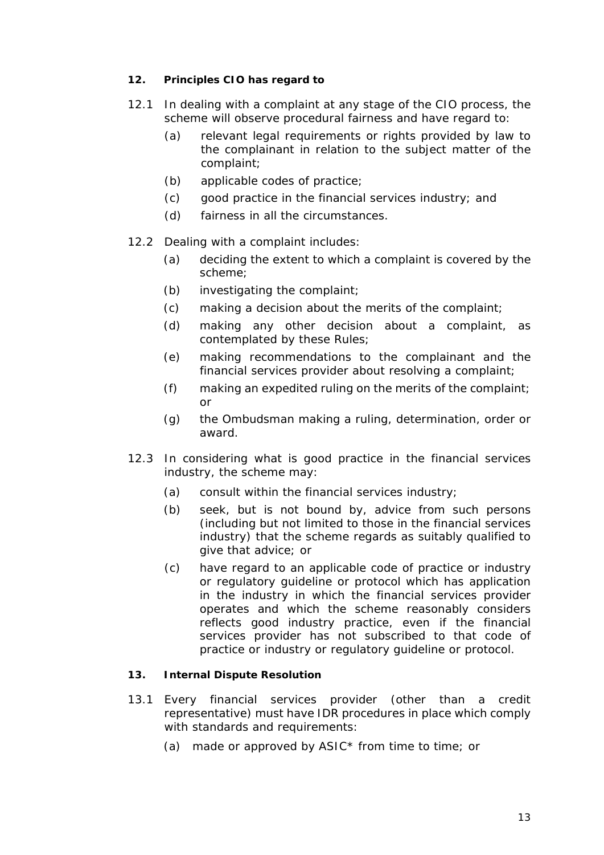# <span id="page-13-0"></span>**12. Principles CIO has regard to**

- 12.1 In *dealing with* a *complaint* at any stage of the *CIO process*, the *scheme* will observe procedural fairness and have regard to:
	- (a) relevant legal requirements or rights provided by law to the *complainant* in relation to the subject matter of the *complaint*;
	- (b) *applicable codes of practice*;
	- (c) good practice in the *financial services industry*; and
	- (d) fairness in all the circumstances.
- 12.2 *Dealing with* a *complaint* includes:
	- (a) deciding the extent to which a *complaint* is covered by the *scheme*;
	- (b) investigating the *complaint*;
	- (c) making a *decision* about the merits of the *complaint*;
	- (d) making any other *decision* about a *complaint*, as contemplated by *these Rules*;
	- (e) making *recommendations* to the *complainant* and the *financial services provider* about resolving a *complaint*;
	- (f) making an *expedited ruling* on the merits of the *complaint*; or
	- (g) the *Ombudsman* making a *ruling*, *determination*, *order* or *award*.
- 12.3 In considering what is good practice in the *financial services industry*, the *scheme* may:
	- (a) consult within the *financial services industry*;
	- (b) seek, but is not bound by, advice from such persons (including but not limited to those in the *financial services industry*) that the *scheme* regards as suitably qualified to give that advice; or
	- (c) have regard to an *applicable code of practice* or industry or regulatory guideline or protocol which has application in the industry in which the *financial services provider* operates and which the *scheme* reasonably considers reflects good industry practice, even if the *financial services provider* has not subscribed to that code of practice or industry or regulatory guideline or protocol.

# <span id="page-13-1"></span>**13. Internal Dispute Resolution**

- 13.1 Every *financial services provider* (other than a *credit representative*) must have *IDR* procedures in place which comply with standards and requirements:
	- (a) made or approved by *ASIC\** from time to time; or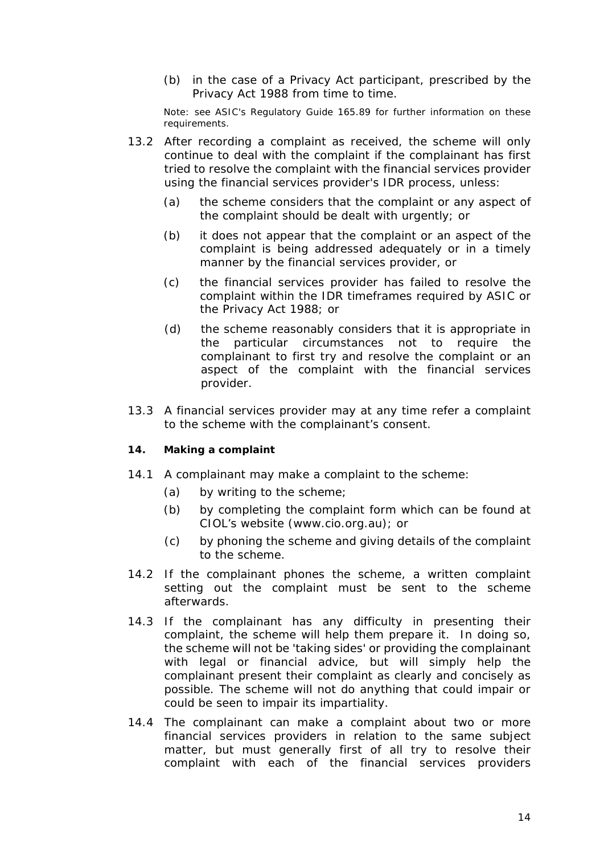(b) in the case of a *Privacy Act participant*, prescribed by the Privacy Act 1988 from time to time.

Note: see *ASIC's* Regulatory Guide 165.89 for further information on these requirements.

- 13.2 After recording a *complaint* as received, the *scheme* will only continue to *deal with* the *complaint* if the *complainant* has first tried to resolve the *complaint* with the *financial services provider* using the *financial services provider*'s *IDR* process, unless:
	- (a) the *scheme* considers that the *complaint* or any aspect of the *complaint* should be *dealt with* urgently; or
	- (b) it does not appear that the *complaint* or an aspect of the *complaint* is being addressed adequately or in a timely manner by the *financial services provider*, or
	- (c) the *financial services provider* has failed to resolve the *complaint* within the *IDR* timeframes required by *ASIC* or the Privacy Act 1988; or
	- (d) the *scheme* reasonably considers that it is appropriate in the particular circumstances not to require the *complainant* to first try and resolve the *complaint* or an aspect of the *complaint* with the *financial services provider*.
- 13.3 A *financial services provider* may at any time refer a *complaint* to the *scheme* with the *complainant*'s consent.

#### <span id="page-14-0"></span>**14. Making a complaint**

- 14.1 A *complainant* may make a *complaint* to the *scheme*:
	- (a) by writing to the *scheme*;
	- (b) by completing the complaint form which can be found at *CIOL*'s *website* (www.cio.org.au); or
	- (c) by phoning the *scheme* and giving details of the *complaint* to the *scheme*.
- 14.2 If the *complainant* phones the *scheme*, a written complaint setting out the *complaint* must be sent to the *scheme* afterwards.
- 14.3 If the *complainant* has any difficulty in presenting their *complaint*, the *scheme* will help them prepare it. In doing so, the *scheme* will not be 'taking sides' or providing the *complainant* with legal or financial advice, but will simply help the *complainant* present their *complaint* as clearly and concisely as possible. The *scheme* will not do anything that could impair or could be seen to impair its impartiality.
- 14.4 The *complainant* can make a *complaint* about two or more *financial services provider*s in relation to the same subject matter, but must generally first of all try to resolve their *complaint* with each of the *financial services provider*s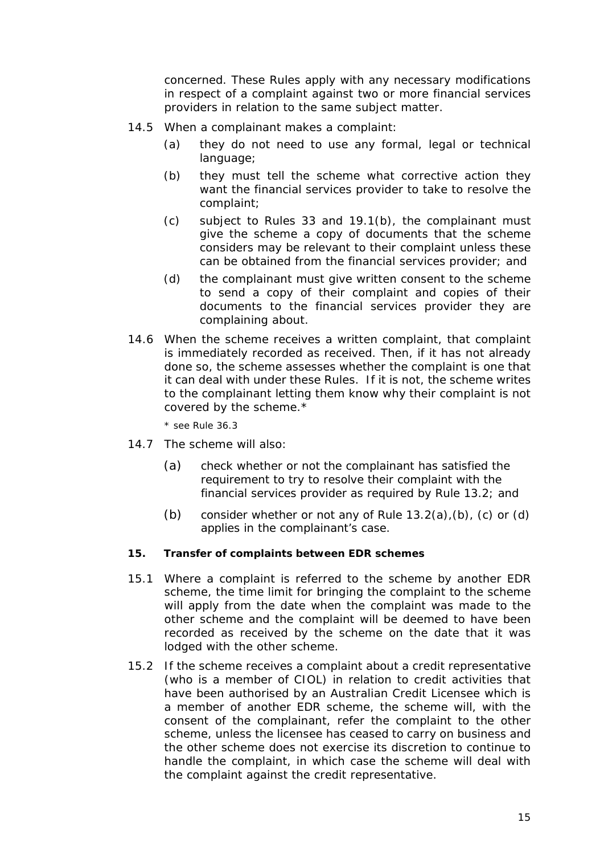concerned. *These Rules* apply with any necessary modifications in respect of a *complaint* against two or more *financial services provider*s in relation to the same subject matter.

- 14.5 When a *complainant* makes a *complaint*:
	- (a) they do not need to use any formal, legal or technical language;
	- (b) they must tell the *scheme* what corrective action they want the *financial services provider* to take to resolve the *complaint*;
	- (c) subject to *Rules* 33 and 19.1(b), the *complainant* must give the *scheme* a copy of documents that the *scheme* considers may be relevant to their *complaint* unless these can be obtained from the *financial services provider*; and
	- (d) the *complainant* must give written consent to the *scheme* to send a copy of their *complaint* and copies of their documents to the *financial services provider* they are complaining about.
- 14.6 When the *scheme* receives a written *complaint*, that *complaint* is immediately recorded as received. Then, if it has not already done so, the *scheme* assesses whether the *complaint* is one that it can *deal with* under *these Rules*. If it is not, the *scheme* writes to the *complainant* letting them know why their *complaint* is not covered by the *scheme*.\*

\* see *Rule* 36.3

- 14.7 The *scheme* will also:
	- (a) check whether or not the *complainant* has satisfied the requirement to try to resolve their *complaint* with the *financial services provider* as required by *Rule* 13.2; and
	- (b) consider whether or not any of *Rule* 13.2(a),(b), (c) or (d) applies in the *complainant*'s case.

#### <span id="page-15-0"></span>**15. Transfer of complaints between EDR schemes**

- 15.1 Where a *complaint* is referred to the *scheme* by another *EDR scheme*, the time limit for bringing the *complaint* to the *scheme* will apply from the date when the *complaint* was made to the other scheme and the *complaint* will be deemed to have been recorded as received by the *scheme* on the date that it was lodged with the other scheme.
- 15.2 If the *scheme* receives a *complaint* about a *credit representative* (who is a member of *CIOL*) in relation to credit activities that have been authorised by an *Australian Credit Licensee* which is a member of another *EDR scheme*, the *scheme* will, with the consent of the *complainant*, refer the *complaint* to the other scheme, unless the licensee has ceased to carry on business and the other scheme does not exercise its discretion to continue to handle the *complaint*, in which case the *scheme* will *deal with* the *complaint* against the *credit representative*.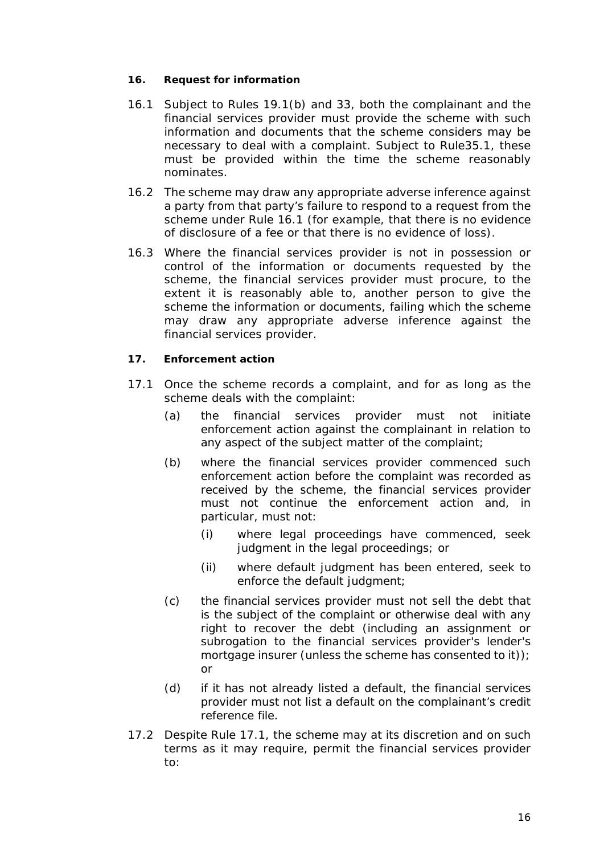#### <span id="page-16-0"></span>**16. Request for information**

- 16.1 Subject to *Rules* 19.1(b) and 33, both the *complainant* and the *financial services provider* must provide the *scheme* with such information and documents that the *scheme* considers may be necessary to *deal with* a *complaint*. Subject to *Rule*35.1, these must be provided within the time the *scheme* reasonably nominates.
- 16.2 The *scheme* may draw any appropriate adverse inference against a party from that party's failure to respond to a request from the *scheme* under *Rule* 16.1 (for example, that there is no evidence of disclosure of a fee or that there is no evidence of loss).
- 16.3 Where the *financial services provider* is not in possession or control of the information or documents requested by the *scheme*, the *financial services provider* must procure, to the extent it is reasonably able to, another person to give the *scheme* the information or documents, failing which the *scheme* may draw any appropriate adverse inference against the *financial services provider*.

# <span id="page-16-1"></span>**17. Enforcement action**

- 17.1 Once the *scheme* records a *complaint,* and for as long as the *scheme deals with* the *complaint*:
	- (a) the *financial services provider* must not initiate *enforcement action* against the *complainant* in relation to any aspect of the subject matter of the *complaint*;
	- (b) where the *financial services provider* commenced such *enforcement action* before the *complaint* was recorded as received by the *scheme*, the *financial services provider* must not continue the *enforcement action* and, in particular, must not:
		- (i) where legal proceedings have commenced, seek judgment in the legal proceedings; or
		- (ii) where default judgment has been entered, seek to enforce the default judgment;
	- (c) the *financial services provider* must not sell the debt that is the subject of the *complaint* or otherwise deal with any right to recover the debt (including an assignment or subrogation to the *financial services provider's* lender's mortgage insurer (unless the *scheme* has consented to it)); or
	- (d) if it has not already listed a default, the *financial services provider* must not list a default on the *complainant*'s credit reference file.
- 17.2 Despite *Rule* 17.1, the *scheme* may at its discretion and on such terms as it may require, permit the *financial services provider* to: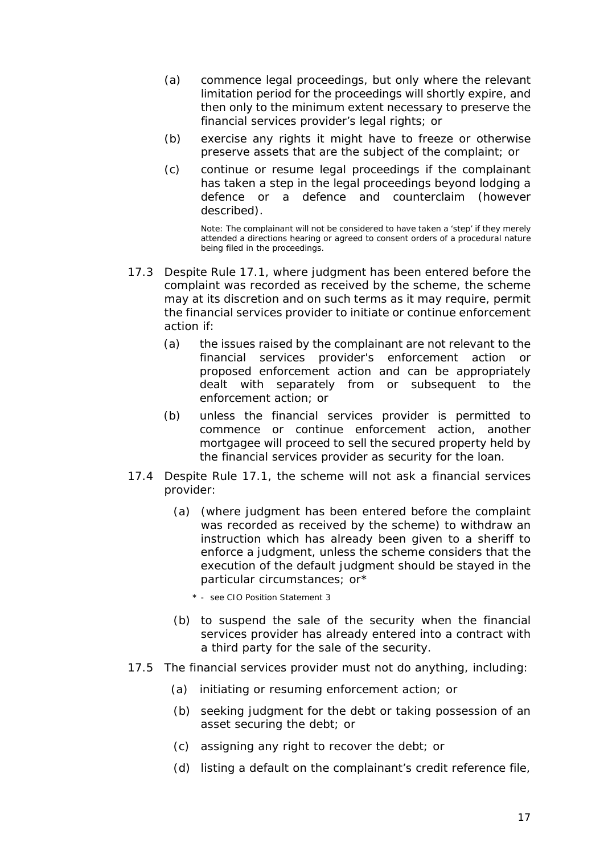- (a) commence legal proceedings, but only where the relevant limitation period for the proceedings will shortly expire, and then only to the minimum extent necessary to preserve the *financial services provider*'s legal rights; or
- (b) exercise any rights it might have to freeze or otherwise preserve assets that are the subject of the *complaint*; or
- (c) continue or resume legal proceedings if the *complainant* has taken a step in the legal proceedings beyond lodging a defence or a defence and counterclaim (however described).

Note: The *complainant* will not be considered to have taken a 'step' if they merely attended a directions hearing or agreed to consent orders of a procedural nature being filed in the proceedings.

- 17.3 Despite *Rule* 17.1, where judgment has been entered before the *complaint* was recorded as received by the *scheme*, the *scheme* may at its discretion and on such terms as it may require, permit the *financial services provider* to initiate or continue *enforcement action* if:
	- (a) the issues raised by the *complainant* are not relevant to the *financial services provider's enforcement action* or proposed *enforcement action* and can be appropriately *dealt with* separately from or subsequent to the *enforcement action*; or
	- (b) unless the *financial services provider* is permitted to commence or continue *enforcement action*, another mortgagee will proceed to sell the secured property held by the *financial services provider* as security for the loan.
- 17.4 Despite *Rule* 17.1, the *scheme* will not ask a *financial services provider*:
	- (a) (where judgment has been entered before the *complaint* was recorded as received by the *scheme*) to withdraw an instruction which has already been given to a sheriff to enforce a judgment, unless the *scheme* considers that the execution of the default judgment should be stayed in the particular circumstances; or\*
		- \* see CIO Position Statement 3
	- (b) to suspend the sale of the security when the *financial services provider* has already entered into a contract with a third party for the sale of the security.
- 17.5 The *financial services provider* must not do anything, including:
	- (a) initiating or resuming *enforcement action*; or
	- (b) seeking judgment for the debt or taking possession of an asset securing the debt; or
	- (c) assigning any right to recover the debt; or
	- (d) listing a default on the *complainant*'s credit reference file,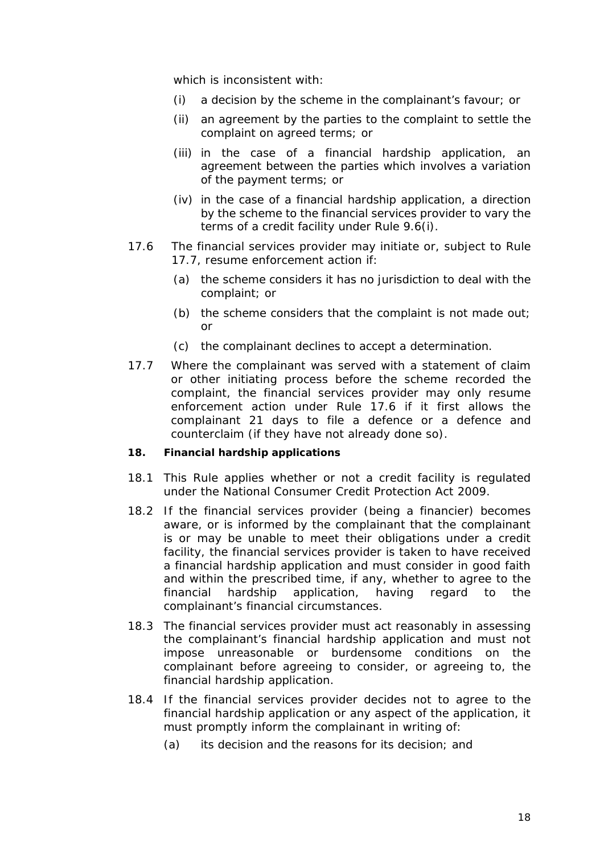which is inconsistent with:

- (i) a *decision* by the *scheme* in the *complainant*'s favour; or
- (ii) an agreement by the parties to the *complaint* to settle the *complaint* on agreed terms; or
- (iii) in the case of a *financial hardship application*, an agreement between the parties which involves a variation of the *payment terms*; or
- (iv) in the case of a *financial hardship application*, a direction by the *scheme* to the *financial services provider* to vary the terms of a *credit facility* under *Rule* 9.6(i).
- 17.6 The *financial services provider* may initiate or, subject to *Rule*  17.7, resume *enforcement action* if:
	- (a) the *scheme* considers it has no jurisdiction to *deal with* the *complaint*; or
	- (b) the *scheme* considers that the *complaint* is not made out; or
	- (c) the *complainant* declines to accept a *determination.*
- 17.7 Where the *complainant* was served with a statement of claim or other initiating process before the *scheme* recorded the *complaint*, the *financial services provider* may only resume *enforcement action* under *Rule* 17.6 if it first allows the *complainant* 21 days to file a defence or a defence and counterclaim (if they have not already done so).

#### <span id="page-18-0"></span>**18. Financial hardship applications**

- 18.1 This *Rule* applies whether or not a *credit facility* is regulated under the National Consumer Credit Protection Act 2009.
- 18.2 If the *financial services provider* (being a *financier*) becomes aware, or is informed by the *complainant* that the *complainant* is or may be unable to meet their obligations under a *credit facility*, the *financial services provider* is taken to have received a *financial hardship application* and must consider in good faith and within the *prescribed time,* if any, whether to agree to the *financial hardship application,* having regard to the *complainant*'s financial circumstances.
- 18.3 The *financial services provider* must act reasonably in assessing the *complainant*'s *financial hardship application* and must not impose unreasonable or burdensome conditions on the *complainant* before agreeing to consider, or agreeing to, the *financial hardship application*.
- 18.4 If the *financial services provider* decides not to agree to the *financial hardship application* or any aspect of the application, it must promptly inform the *complainant* in writing of:
	- (a) its decision and the reasons for its decision; and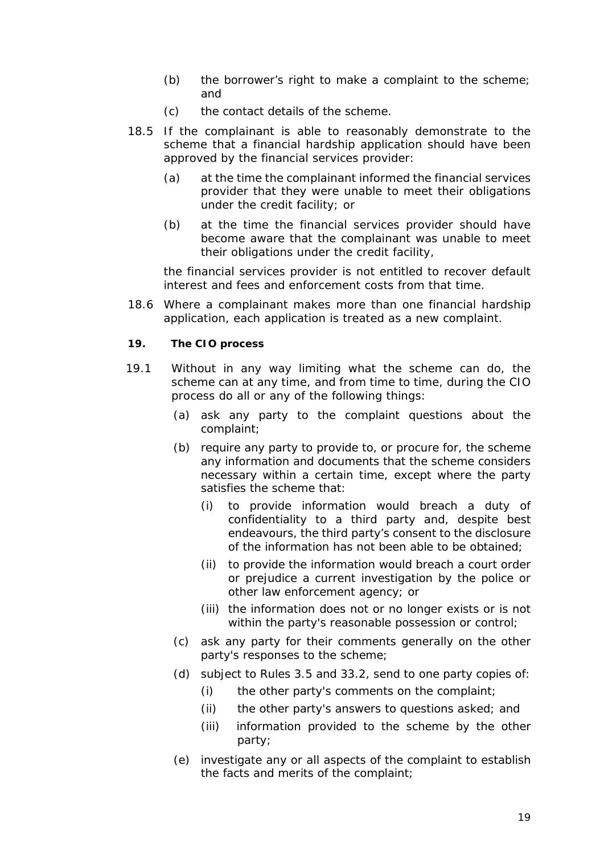- (b) the borrower's right to make a *complaint* to the *scheme*; and
- (c) the contact details of the *scheme*.
- 18.5 If the *complainant* is able to reasonably demonstrate to the *scheme* that a *financial hardship application* should have been approved by the *financial services provider:*
	- (a) at the time the *complainant* informed the *financial services provider* that they were unable to meet their obligations under the *credit facility*; or
	- (b) at the time the *financial services provider* should have become aware that the *complainant* was unable to meet their obligations under the *credit facility,*

the *financial services provider* is not entitled to recover default interest and fees and enforcement costs from that time.

18.6 Where a *complainant* makes more than one *financial hardship application*, each application is treated as a new *complaint*.

#### <span id="page-19-0"></span>**19. The CIO process**

- 19.1 Without in any way limiting what the *scheme* can do, the *scheme* can at any time, and from time to time, during the *CIO process* do all or any of the following things:
	- (a) ask any party to the *complaint* questions about the *complaint*;
	- (b) require any party to provide to, or procure for, the *scheme* any information and documents that the *scheme* considers necessary within a certain time, except where the party satisfies the *scheme* that:
		- (i) to provide information would breach a duty of confidentiality to a third party and, despite best endeavours, the third party's consent to the disclosure of the information has not been able to be obtained;
		- (ii) to provide the information would breach a court order or prejudice a current investigation by the police or other law enforcement agency; or
		- (iii) the information does not or no longer exists or is not within the party's reasonable possession or control;
	- (c) ask any party for their comments generally on the other party's responses to the *scheme*;
	- (d) subject to *Rules* 3.5 and 33.2, send to one party copies of:
		- (i) the other party's comments on the *complaint*;
		- (ii) the other party's answers to questions asked; and
		- (iii) information provided to the *scheme* by the other party;
	- (e) investigate any or all aspects of the *complaint* to establish the facts and merits of the *complaint*;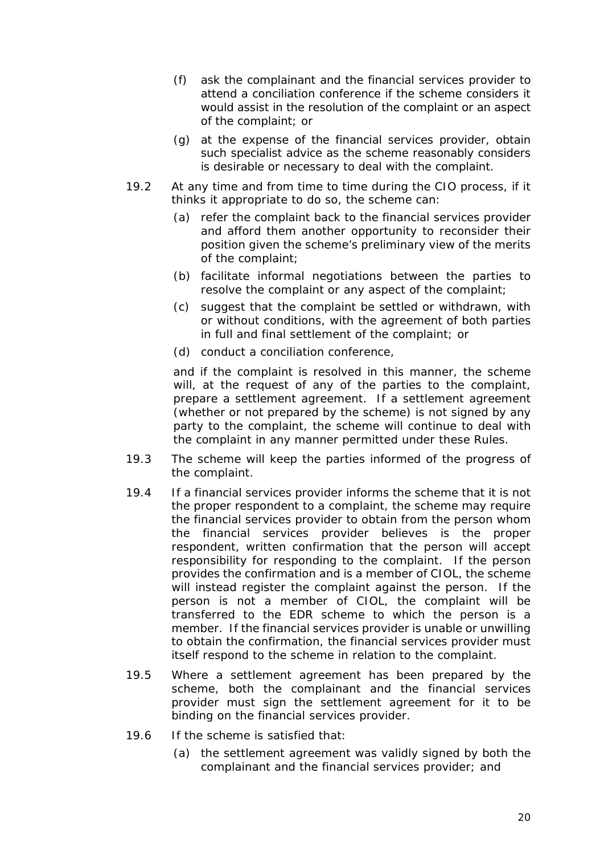- (f) ask the *complainant* and the *financial services provider* to attend a *conciliation conference* if the *scheme* considers it would assist in the resolution of the *complaint* or an aspect of the *complaint*; or
- (g) at the expense of the *financial services provider*, obtain such specialist advice as the *scheme* reasonably considers is desirable or necessary to *deal with* the *complaint*.
- 19.2 At any time and from time to time during the *CIO process*, if it thinks it appropriate to do so, the *scheme* can:
	- (a) refer the *complaint* back to the *financial services provider* and afford them another opportunity to reconsider their position given the *scheme*'s preliminary view of the merits of the *complaint*;
	- (b) facilitate informal negotiations between the parties to resolve the *complaint* or any aspect of the *complaint*;
	- (c) suggest that the *complaint* be settled or withdrawn, with or without conditions, with the agreement of both parties in full and final settlement of the *complaint*; or
	- (d) conduct a *conciliation conference*,

and if the *complaint* is resolved in this manner, the *scheme*  will, at the request of any of the parties to the *complaint*, prepare a *settlement agreement.* If a *settlement agreement* (whether or not prepared by the *scheme*) is not signed by any party to the *complaint*, the *scheme* will continue to *deal with*  the *complaint* in any manner permitted under *these Rules*.

- 19.3 The *scheme* will keep the parties informed of the progress of the *complaint.*
- 19.4 If a *financial services provider informs* the *scheme* that it is not the proper respondent to a *complaint*, the *scheme* may require the *financial services provider* to obtain from the person whom the *financial services provider* believes is the proper respondent, written confirmation that the person will accept responsibility for responding to the *complaint*. If the person provides the confirmation and is a member of *CIOL*, the *scheme* will instead register the *complaint* against the person. If the person is not a member of *CIOL*, the *complaint* will be transferred to the *EDR scheme* to which the person is a member. If the *financial services provider* is unable or unwilling to obtain the confirmation, the *financial services provider* must itself respond to the *scheme* in relation to the *complaint*.
- 19.5 Where a *settlement agreement* has been prepared by the *scheme*, both the *complainant* and the *financial services provider* must sign the *settlement agreement* for it to be binding on the *financial services provider*.
- 19.6 If the *scheme* is satisfied that:
	- (a) the *settlement agreement* was validly signed by both the *complainant* and the *financial services provider*; and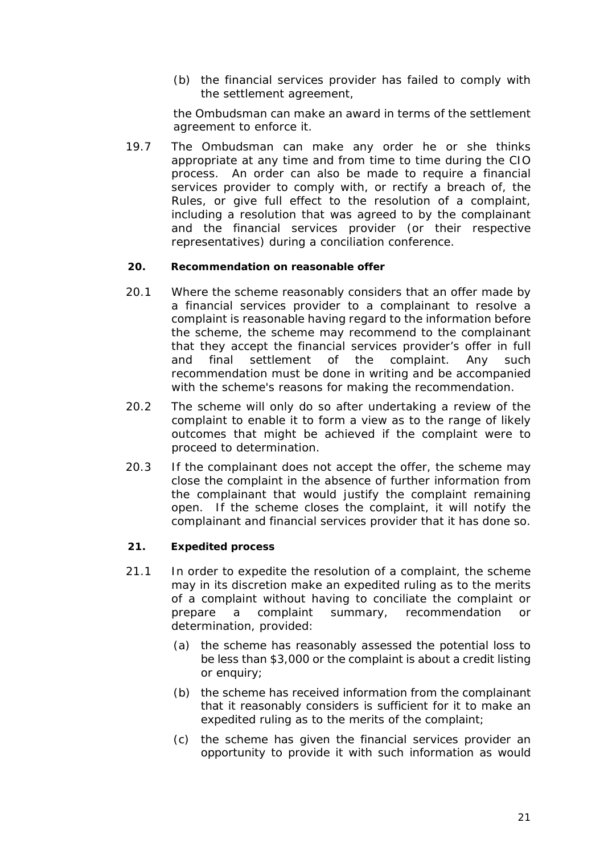(b) the *financial services provider* has failed to comply with the *settlement agreement*,

the *Ombudsman* can make an *award* in terms of the *settlement agreement* to enforce it.

19.7 The *Ombudsman* can make any *order* he or she thinks appropriate at any time and from time to time during the *CIO process*. An *order* can also be made to require a *financial services provider* to comply with, or rectify a breach of, the *Rules*, or give full effect to the resolution of a *complaint*, including a resolution that was agreed to by the *complainant* and the *financial services provider* (or their respective representatives) during a *conciliation conference*.

#### <span id="page-21-0"></span>**20. Recommendation on reasonable offer**

- 20.1 Where the *scheme* reasonably considers that an offer made by a *financial services provider* to a *complainant* to resolve a *complaint* is reasonable having regard to the information before the *scheme*, the *scheme* may recommend to the *complainant* that they accept the *financial services provider*'s offer in full and final settlement of the *complaint*. Any such *recommendation* must be done in writing and be accompanied with the *scheme*'s reasons for making the *recommendation*.
- 20.2 The *scheme* will only do so after undertaking a review of the *complaint* to enable it to form a view as to the range of likely outcomes that might be achieved if the *complaint* were to proceed to *determination*.
- 20.3 If the *complainant* does not accept the offer, the *scheme* may close the *complaint* in the absence of further information from the *complainant* that would justify the *complaint* remaining open. If the *scheme* closes the *complaint*, it will notify the *complainant* and *financial services provider* that it has done so.

#### <span id="page-21-1"></span>**21. Expedited process**

- 21.1 In order to expedite the resolution of a *complaint*, the *scheme* may in its discretion make an *expedited ruling* as to the merits of a *complaint* without having to conciliate the *complaint* or prepare a *complaint summary*, *recommendation* or *determination*, provided:
	- (a) the *scheme* has reasonably assessed the potential loss to be less than \$3,000 or the *complaint* is about a credit listing or enquiry;
	- (b) the *scheme* has received information from the *complainant* that it reasonably considers is sufficient for it to make an *expedited ruling* as to the merits of the *complaint*;
	- (c) the *scheme* has given the *financial services provider* an opportunity to provide it with such information as would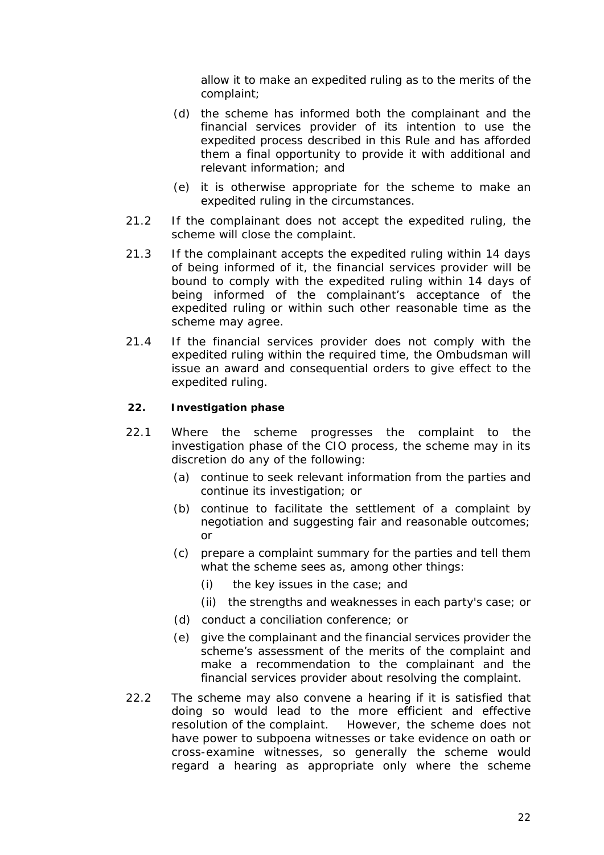allow it to make an *expedited ruling* as to the merits of the *complaint*;

- (d) the *scheme* has informed both the *complainant* and the *financial services provider* of its intention to use the expedited process described in this *Rule* and has afforded them a final opportunity to provide it with additional and relevant information; and
- (e) it is otherwise appropriate for the *scheme* to make an *expedited ruling* in the circumstances.
- 21.2 If the *complainant* does not accept the *expedited ruling*, the *scheme* will close the *complaint*.
- 21.3 If the *complainant* accepts the *expedited ruling* within 14 days of being informed of it, the *financial services provider* will be bound to comply with the *expedited ruling* within 14 days of being informed of the *complainant*'s acceptance of the *expedited ruling* or within such other reasonable time as the *scheme* may agree.
- 21.4 If the *financial services provider* does not comply with the *expedited ruling* within the required time, the Ombudsman will issue an *award* and consequential orders to give effect to the *expedited ruling*.

#### <span id="page-22-0"></span>**22. Investigation phase**

- 22.1 Where the *scheme* progresses the *complaint* to the *investigation phase* of the *CIO process*, the *scheme* may in its discretion do any of the following:
	- (a) continue to seek relevant information from the parties and continue its investigation; or
	- (b) continue to facilitate the settlement of a *complaint* by negotiation and suggesting fair and reasonable outcomes; or
	- (c) prepare a *complaint summary* for the parties and tell them what the *scheme* sees as, among other things:
		- (i) the key issues in the case; and
		- (ii) the strengths and weaknesses in each party's case; or
	- (d) conduct a *conciliation conference*; or
	- (e) give the *complainant* and the *financial services provider* the *scheme*'s assessment of the merits of the *complaint* and make a *recommendation* to the *complainant* and the *financial services provider* about resolving the *complaint*.
- 22.2 The *scheme* may also convene a hearing if it is satisfied that doing so would lead to the more efficient and effective resolution of the *complaint*. However, the *scheme* does not have power to subpoena witnesses or take evidence on oath or cross-examine witnesses, so generally the *scheme* would regard a hearing as appropriate only where the *scheme*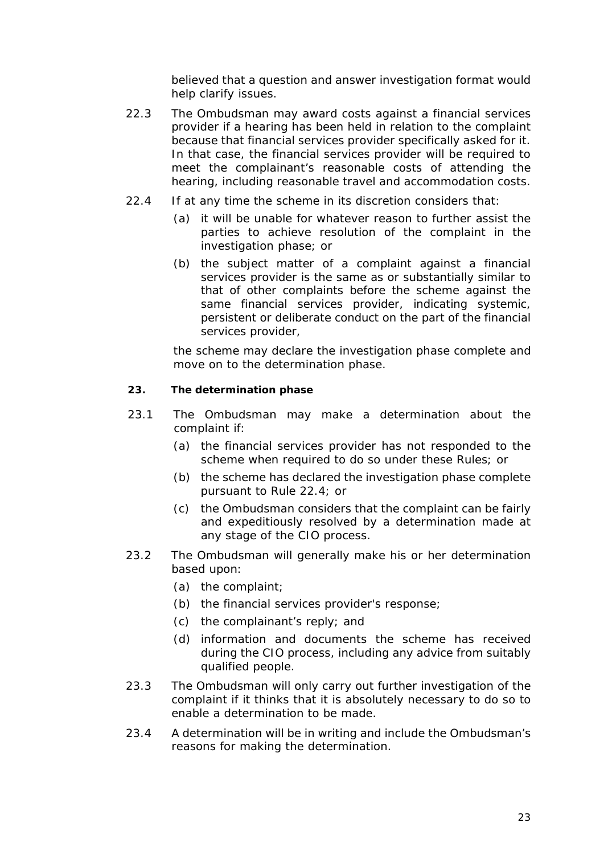believed that a question and answer investigation format would help clarify issues.

- 22.3 The *Ombudsman* may award costs against a *financial services provider* if a hearing has been held in relation to the *complaint* because that *financial services provider* specifically asked for it. In that case, the *financial services provider* will be required to meet the *complainant*'s reasonable costs of attending the hearing, including reasonable travel and accommodation costs.
- 22.4 If at any time the *scheme* in its discretion considers that:
	- (a) it will be unable for whatever reason to further assist the parties to achieve resolution of the *complaint* in the *investigation phase*; or
	- (b) the subject matter of a *complaint* against a *financial services provider* is the same as or substantially similar to that of other *complaint*s before the *scheme* against the same *financial services provider*, indicating systemic, persistent or deliberate conduct on the part of the *financial services provider*,

the *scheme* may declare the *investigation phase* complete and move on to the *determination phase*.

# <span id="page-23-0"></span>**23. The determination phase**

- 23.1 The *Ombudsman* may make a *determination* about the *complaint* if:
	- (a) the *financial services provider* has not responded to the *scheme* when required to do so under *these Rules*; or
	- (b) the *scheme* has declared the *investigation phase* complete pursuant to *Rule* 22.4; or
	- (c) the *Ombudsman* considers that the *complaint* can be fairly and expeditiously resolved by a *determination* made at any stage of the *CIO process*.
- 23.2 The *Ombudsman* will generally make his or her *determination* based upon:
	- (a) the *complaint*;
	- (b) the *financial services provider*'s response;
	- (c) the *complainant*'s reply; and
	- (d) information and documents the *scheme* has received during the *CIO process*, including any advice from suitably qualified people.
- 23.3 The *Ombudsman* will only carry out further investigation of the *complaint* if it thinks that it is absolutely necessary to do so to enable a *determination* to be made.
- 23.4 A *determination* will be in writing and include the *Ombudsman*'s reasons for making the *determination*.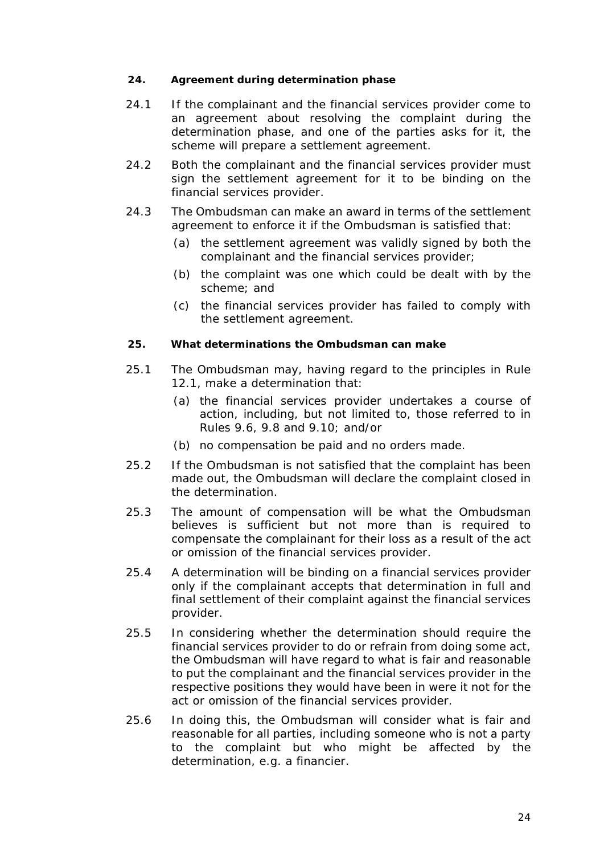#### <span id="page-24-0"></span>**24. Agreement during determination phase**

- 24.1 If the *complainant* and the *financial services provider* come to an agreement about resolving the *complaint* during the *determination phase*, and one of the parties asks for it, the *scheme* will prepare a *settlement agreement*.
- 24.2 Both the *complainant* and the *financial services provider* must sign the *settlement agreement* for it to be binding on the *financial services provider*.
- 24.3 The *Ombudsman* can make an *award* in terms of the *settlement agreement* to enforce it if the *Ombudsman* is satisfied that:
	- (a) the *settlement agreement* was validly signed by both the *complainant* and the *financial services provider*;
	- (b) the *complaint* was one which could be *dealt with* by the *scheme*; and
	- (c) the *financial services provider* has failed to comply with the *settlement agreement*.

#### <span id="page-24-1"></span>**25. What determinations the Ombudsman can make**

- 25.1 The *Ombudsman* may, having regard to the principles in *Rule*  12.1, make a *determination* that:
	- (a) the *financial services provider* undertakes a course of action, including, but not limited to, those referred to in *Rules* 9.6, 9.8 and 9.10; and/or
	- (b) no compensation be paid and no *order*s made.
- 25.2 If the *Ombudsman* is not satisfied that the *complaint* has been made out, the *Ombudsman* will declare the *complaint* closed in the *determination*.
- 25.3 The amount of compensation will be what the *Ombudsman* believes is sufficient but not more than is required to compensate the *complainant* for their loss as a result of the act or omission of the *financial services provider*.
- 25.4 A *determination* will be binding on a *financial services provider* only if the *complainant* accepts that *determination* in full and final settlement of their *complaint* against the *financial services provider*.
- 25.5 In considering whether the *determination* should require the *financial services provider* to do or refrain from doing some act, the *Ombudsman* will have regard to what is fair and reasonable to put the *complainant* and the *financial services provider* in the respective positions they would have been in were it not for the act or omission of the *financial services provider*.
- 25.6 In doing this, the *Ombudsman* will consider what is fair and reasonable for all parties, including someone who is not a party to the *complaint* but who might be affected by the *determination*, e.g. a *financier*.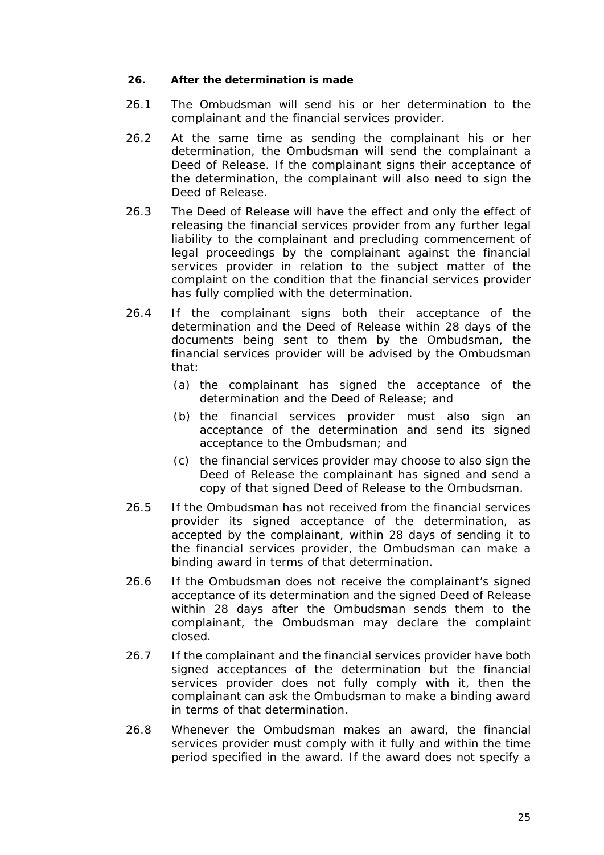#### <span id="page-25-0"></span>**26. After the determination is made**

- 26.1 The *Ombudsman* will send his or her *determination* to the *complainant* and the *financial services provider*.
- 26.2 At the same time as sending the *complainant* his or her *determination*, the *Ombudsman* will send the *complainant* a Deed of Release. If the *complainant* signs their acceptance of the *determination*, the *complainant* will also need to sign the Deed of Release.
- 26.3 The Deed of Release will have the effect and only the effect of releasing the *financial services provider* from any further legal liability to the *complainant* and precluding commencement of legal proceedings by the *complainant* against the *financial services provider* in relation to the subject matter of the *complaint* on the condition that the *financial services provider* has fully complied with the *determination*.
- 26.4 If the *complainant* signs both their acceptance of the *determination* and the Deed of Release within 28 days of the documents being sent to them by the *Ombudsman*, the *financial services provider* will be advised by the *Ombudsman* that:
	- (a) the *complainant* has signed the acceptance of the *determination* and the Deed of Release; and
	- (b) the *financial services provider* must also sign an acceptance of the *determination* and send its signed acceptance to the *Ombudsman*; and
	- (c) the *financial services provider* may choose to also sign the Deed of Release the *complainant* has signed and send a copy of that signed Deed of Release to the *Ombudsman*.
- 26.5 If the *Ombudsman* has not received from the *financial services provider* its signed acceptance of the *determination*, as accepted by the *complainant*, within 28 days of sending it to the *financial services provider*, the *Ombudsman* can make a binding *award* in terms of that *determination*.
- 26.6 If the *Ombudsman* does not receive the *complainant*'s signed acceptance of its *determination* and the signed Deed of Release within 28 days after the *Ombudsman* sends them to the *complainant*, the *Ombudsman* may declare the *complaint* closed.
- 26.7 If the *complainant* and the *financial services provider* have both signed acceptances of the *determination* but the *financial services provider* does not fully comply with it, then the *complainant* can ask the *Ombudsman* to make a binding *award* in terms of that *determination*.
- 26.8 Whenever the *Ombudsman* makes an *award*, the *financial services provider* must comply with it fully and within the time period specified in the *award*. If the *award* does not specify a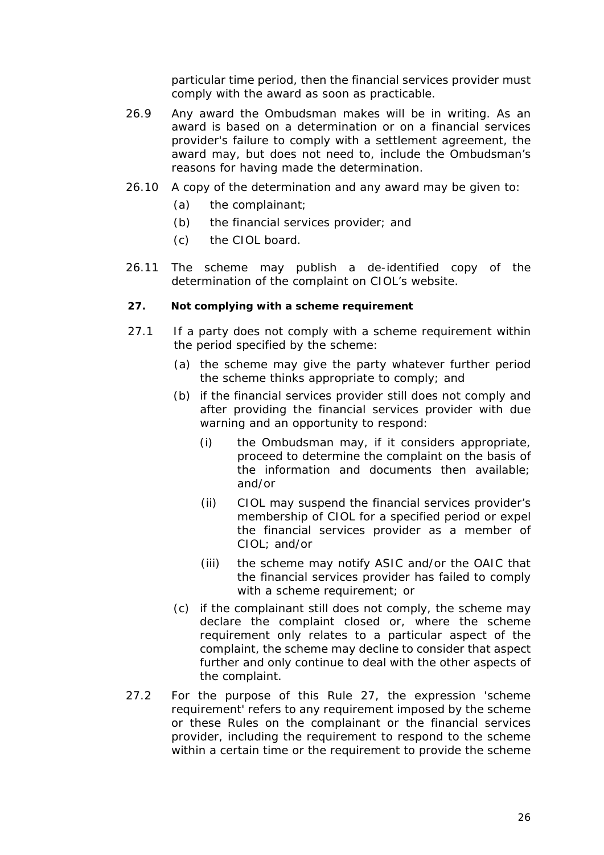particular time period, then the *financial services provider* must comply with the *award* as soon as practicable.

- 26.9 Any *award* the *Ombudsman* makes will be in writing. As an *award* is based on a *determination* or on a *financial services provider*'s failure to comply with a *settlement agreement*, the *award* may, but does not need to, include the *Ombudsman*'s reasons for having made the *determination*.
- 26.10 A copy of the *determination* and any *award* may be given to:
	- (a) the *complainant*;
	- (b) the *financial services provider*; and
	- (c) the *CIOL board*.
- 26.11 The *scheme* may publish a de-identified copy of the *determination* of the *complaint* on *CIOL*'s *website*.

#### <span id="page-26-0"></span>**27. Not complying with a scheme requirement**

- 27.1 If a party does not comply with a *scheme requirement* within the period specified by the *scheme*:
	- (a) the *scheme* may give the party whatever further period the *scheme* thinks appropriate to comply; and
	- (b) if the *financial services provider* still does not comply and after providing the *financial services provider* with due warning and an opportunity to respond:
		- (i) the *Ombudsman* may, if it considers appropriate, proceed to determine the *complaint* on the basis of the information and documents then available; and/or
		- (ii) *CIOL* may suspend the *financial services provider's*  membership of *CIOL* for a specified period or expel the *financial services provider* as a member of *CIOL*; and/or
		- (iii) the *scheme* may notify *ASIC* and/or the *OAIC* that the *financial services provider* has failed to comply with a *scheme requirement*; or
	- (c) if the *complainant* still does not comply, the *scheme* may declare the *complaint* closed or, where the *scheme requirement* only relates to a particular aspect of the *complaint*, the *scheme* may decline to consider that aspect further and only continue to *deal with* the other aspects of the *complaint*.
- 27.2 For the purpose of this *Rule* 27, the expression '*scheme requirement'* refers to any requirement imposed by the *scheme* or *these Rules* on the *complainant* or the *financial services provider*, including the requirement to respond to the *scheme* within a certain time or the requirement to provide the *scheme*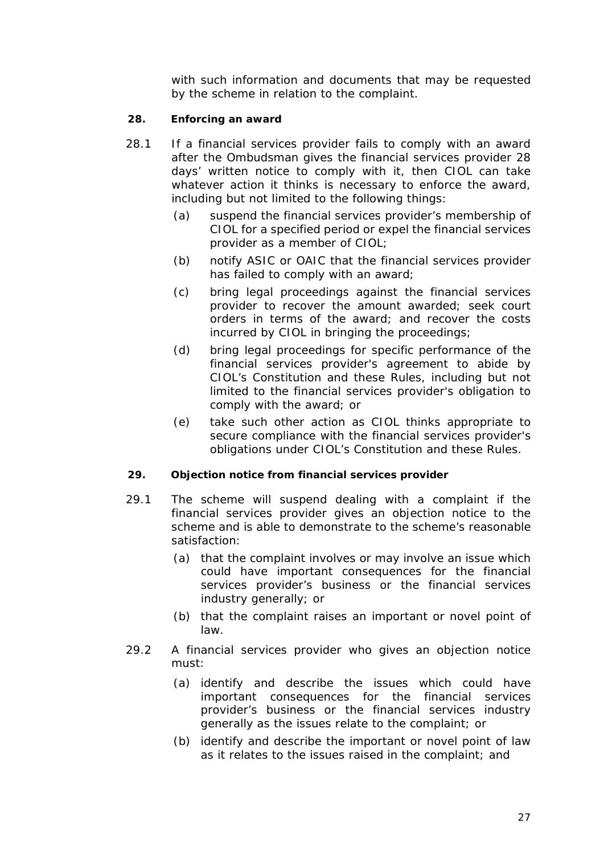with such information and documents that may be requested by the *scheme* in relation to the *complaint*.

# <span id="page-27-0"></span>**28. Enforcing an award**

- 28.1 If a *financial services provider* fails to comply with an *award* after the *Ombudsman* gives the *financial services provider* 28 days' written notice to comply with it, then *CIOL* can take whatever action it thinks is necessary to enforce the *award*, including but not limited to the following things:
	- (a) suspend the *financial services provider's* membership of *CIOL* for a specified period or expel the *financial services provider* as a member of *CIOL*;
	- (b) notify *ASIC* or *OAIC* that the *financial services provider* has failed to comply with an *award*;
	- (c) bring legal proceedings against the *financial services provider* to recover the amount awarded; seek court orders in terms of the *award*; and recover the costs incurred by *CIOL* in bringing the proceedings;
	- (d) bring legal proceedings for specific performance of the *financial services provider*'s agreement to abide by *CIOL*'s Constitution and *these Rules*, including but not limited to the *financial services provider*'s obligation to comply with the *award*; or
	- (e) take such other action as *CIOL* thinks appropriate to secure compliance with the *financial services provider*'s obligations under *CIOL*'s Constitution and *these Rules*.

#### <span id="page-27-1"></span>**29. Objection notice from financial services provider**

- 29.1 The *scheme* will suspend *dealing with* a *complaint* if the *financial services provider* gives an *objection notice* to the *scheme* and is able to demonstrate to the *scheme*'s reasonable satisfaction:
	- (a) that the *complaint* involves or may involve an issue which could have important consequences for the *financial services provider*'s business or the *financial services industry* generally; or
	- (b) that the *complaint* raises an important or novel point of law.
- 29.2 A *financial services provider* who gives an *objection notice* must:
	- (a) identify and describe the issues which could have important consequences for the *financial services provider*'s business or the *financial services industry* generally as the issues relate to the *complaint*; or
	- (b) identify and describe the important or novel point of law as it relates to the issues raised in the *complaint*; and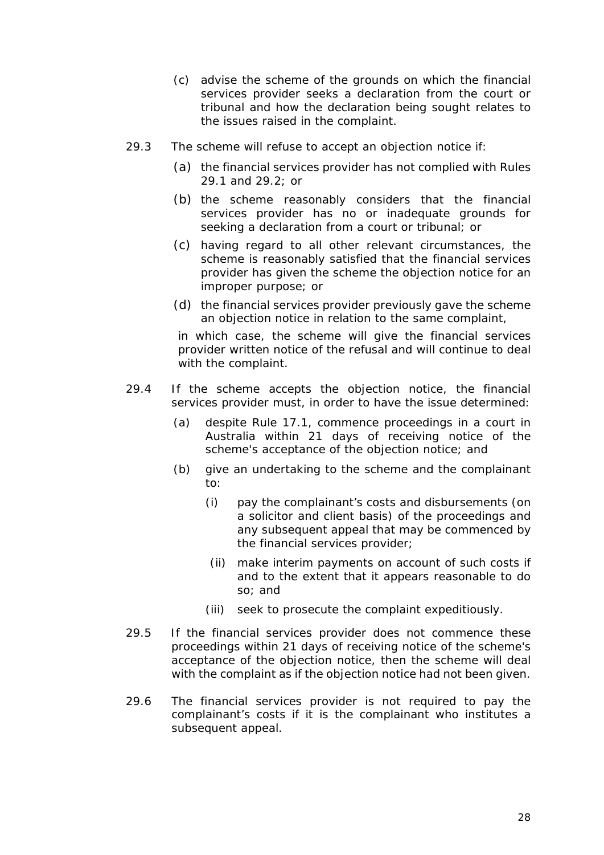- (c) advise the *scheme* of the grounds on which the *financial services provider* seeks a declaration from the court or tribunal and how the declaration being sought relates to the issues raised in the *complaint*.
- 29.3 The *scheme* will refuse to accept an *objection notice* if:
	- (a) the *financial services provider* has not complied with *Rules* 29.1 and 29.2; or
	- (b) the *scheme* reasonably considers that the *financial services provider* has no or inadequate grounds for seeking a declaration from a court or tribunal; or
	- (c) having regard to all other relevant circumstances, the *scheme* is reasonably satisfied that the *financial services provider* has given the *scheme* the *objection notice* for an improper purpose; or
	- (d) the *financial services provider* previously gave the *scheme* an *objection notice* in relation to the same *complaint*,

in which case, the *scheme* will give the *financial services provider* written notice of the refusal and will continue to *deal with* the *complaint*.

- 29.4 If the *scheme* accepts the *objection notice*, the *financial services provider* must, in order to have the issue determined:
	- (a) despite *Rule* 17.1, commence proceedings in a court in Australia within 21 days of receiving notice of the *scheme*'s acceptance of the *objection notice*; and
	- (b) give an undertaking to the *scheme* and the *complainant* to:
		- (i) pay the *complainant*'s costs and disbursements (on a solicitor and client basis) of the proceedings and any subsequent appeal that may be commenced by the *financial services provider*;
		- (ii) make interim payments on account of such costs if and to the extent that it appears reasonable to do so; and
		- (iii) seek to prosecute the *complaint* expeditiously.
- 29.5 If the *financial services provider* does not commence these proceedings within 21 days of receiving notice of the *scheme*'s acceptance of the *objection notice*, then the *scheme* will *deal with* the *complaint* as if the *objection notice* had not been given.
- 29.6 The *financial services provider* is not required to pay the *complainant*'s costs if it is the *complainant* who institutes a subsequent appeal.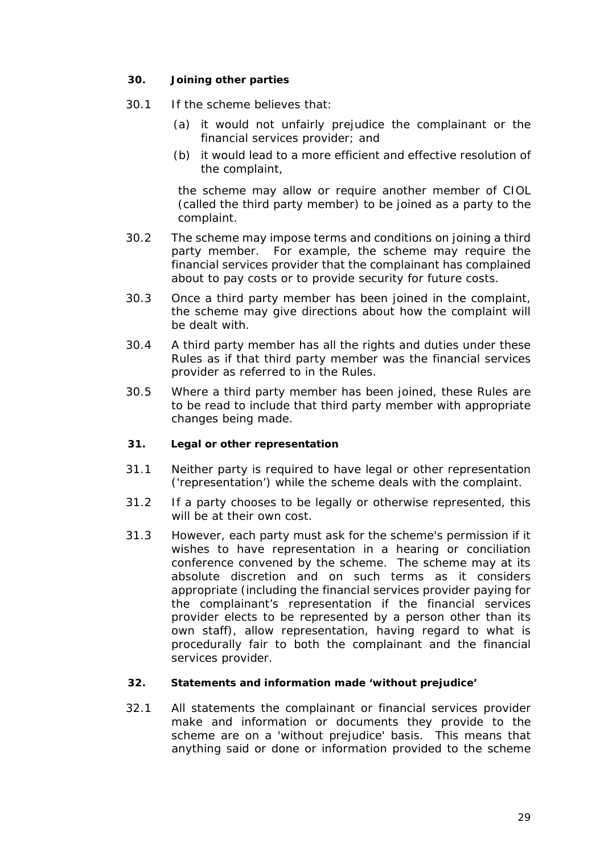#### <span id="page-29-0"></span>**30. Joining other parties**

- 30.1 If the *scheme* believes that:
	- (a) it would not unfairly prejudice the *complainant* or the *financial services provider*; and
	- (b) it would lead to a more efficient and effective resolution of the *complaint*,

the *scheme* may allow or require another member of *CIOL* (called the *third party member*) to be joined as a party to the *complaint*.

- 30.2 The *scheme* may impose terms and conditions on joining a *third party member.* For example, the *scheme* may require the *financial services provider* that the *complainant* has complained about to pay costs or to provide security for future costs.
- 30.3 Once a *third party member* has been joined in the *complaint*, the *scheme* may give directions about how the *complaint* will be *dealt with*.
- 30.4 A *third party member* has all the rights and duties under *these Rules* as if that *third party member* was the *financial services provider* as referred to in the *Rules*.
- 30.5 Where a *third party member* has been joined, *these Rules* are to be read to include that *third party member* with appropriate changes being made.

#### <span id="page-29-1"></span>**31. Legal or other representation**

- 31.1 Neither party is required to have legal or other representation ('representation') while the *scheme deals with* the *complaint*.
- 31.2 If a party chooses to be legally or otherwise represented, this will be at their own cost.
- 31.3 However, each party must ask for the *scheme's* permission if it wishes to have representation in a hearing or *conciliation conference* convened by the *scheme*. The *scheme* may at its absolute discretion and on such terms as it considers appropriate (including the *financial services provider* paying for the *complainant*'s representation if the *financial services provider* elects to be represented by a person other than its own staff), allow representation, having regard to what is procedurally fair to both the *complainant* and the *financial services provider*.

#### <span id="page-29-2"></span>**32. Statements and information made 'without prejudice'**

32.1 All statements the *complainant* or *financial services provider* make and information or documents they provide to the *scheme* are on a 'without prejudice' basis. This means that anything said or done or information provided to the *scheme*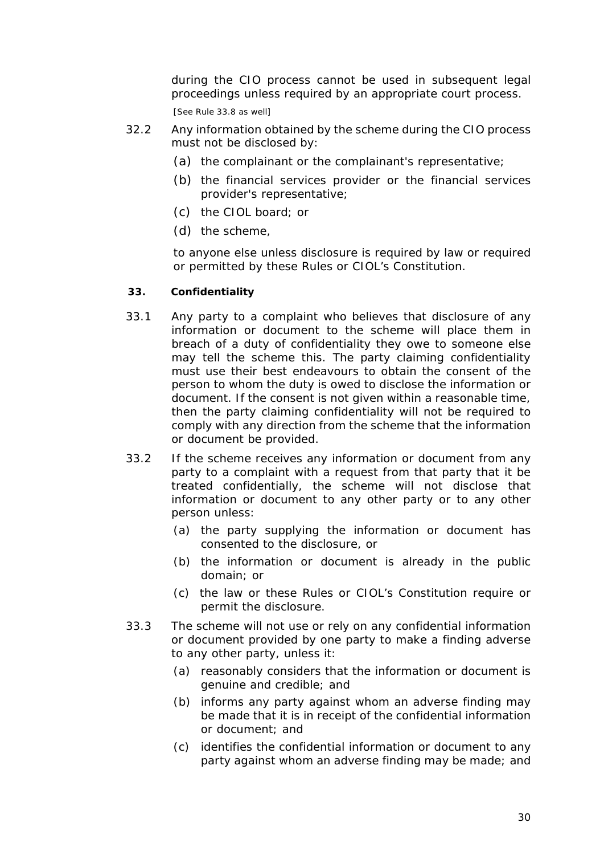during the *CIO process* cannot be used in subsequent legal proceedings unless required by an appropriate court process.

[See *Rule* 33.8 as well]

- 32.2 Any information obtained by the *scheme* during the *CIO process* must not be disclosed by:
	- (a) the *complainant* or the *complainant's* representative;
	- (b) the *financial services provider* or the *financial services provider's* representative;
	- (c) the *CIOL board*; or
	- (d) the *scheme*,

to anyone else unless disclosure is required by law or required or permitted by *these Rules* or *CIOL*'s Constitution.

#### <span id="page-30-0"></span>**33. Confidentiality**

- 33.1 Any party to a *complaint* who believes that disclosure of any information or document to the *scheme* will place them in breach of a duty of confidentiality they owe to someone else may tell the *scheme* this. The party claiming confidentiality must use their best endeavours to obtain the consent of the person to whom the duty is owed to disclose the information or document. If the consent is not given within a reasonable time, then the party claiming confidentiality will not be required to comply with any direction from the *scheme* that the information or document be provided.
- 33.2 If the *scheme* receives any information or document from any party to a *complaint* with a request from that party that it be treated confidentially, the *scheme* will not disclose that information or document to any other party or to any other person unless:
	- (a) the party supplying the information or document has consented to the disclosure, or
	- (b) the information or document is already in the public domain; or
	- (c) the law or *these Rules* or *CIOL*'s Constitution require or permit the disclosure.
- 33.3 The *scheme* will not use or rely on any confidential information or document provided by one party to make a finding adverse to any other party, unless it:
	- (a) reasonably considers that the information or document is genuine and credible; and
	- (b) informs any party against whom an adverse finding may be made that it is in receipt of the confidential information or document; and
	- (c) identifies the confidential information or document to any party against whom an adverse finding may be made; and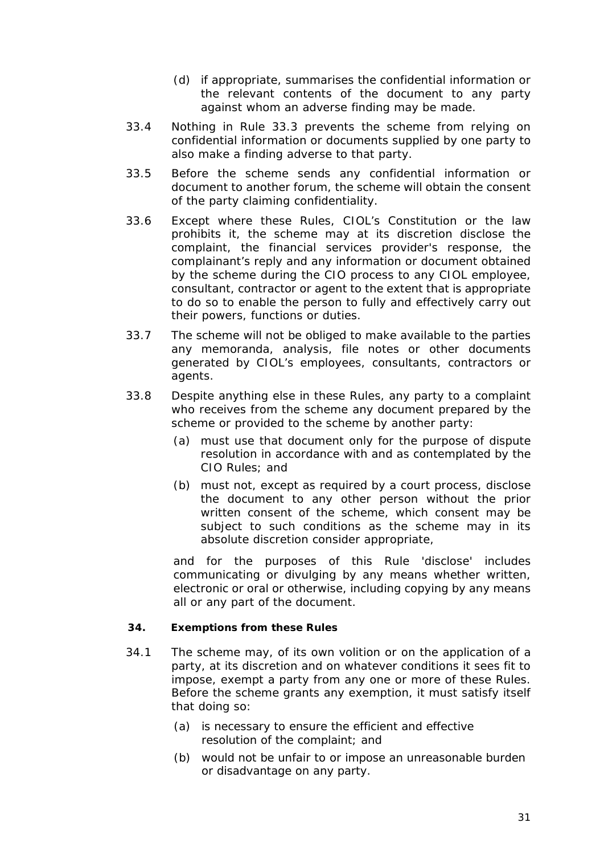- (d) if appropriate, summarises the confidential information or the relevant contents of the document to any party against whom an adverse finding may be made.
- 33.4 Nothing in *Rule* 33.3 prevents the *scheme* from relying on confidential information or documents supplied by one party to also make a finding adverse to that party.
- 33.5 Before the *scheme* sends any confidential information or document to another forum, the *scheme* will obtain the consent of the party claiming confidentiality.
- 33.6 Except where *these Rules*, *CIOL*'s Constitution or the law prohibits it, the *scheme* may at its discretion disclose the *complaint*, the *financial services provider*'s response, the *complainant*'s reply and any information or document obtained by the *scheme* during the *CIO process* to any *CIOL* employee, consultant, contractor or agent to the extent that is appropriate to do so to enable the person to fully and effectively carry out their powers, functions or duties.
- 33.7 The *scheme* will not be obliged to make available to the parties any memoranda, analysis, file notes or other documents generated by *CIOL*'s employees, consultants, contractors or agents.
- 33.8 Despite anything else in *these Rules*, any party to a *complaint* who receives from the *scheme* any document prepared by the *scheme* or provided to the *scheme* by another party:
	- (a) must use that document only for the purpose of dispute resolution in accordance with and as contemplated by the *CIO Rules*; and
	- (b) must not, except as required by a court process, disclose the document to any other person without the prior written consent of the *scheme*, which consent may be subject to such conditions as the *scheme* may in its absolute discretion consider appropriate,

and for the purposes of this *Rule* 'disclose' includes communicating or divulging by any means whether written, electronic or oral or otherwise, including copying by any means all or any part of the document.

# <span id="page-31-0"></span>**34. Exemptions from these Rules**

- 34.1 The *scheme* may, of its own volition or on the application of a party, at its discretion and on whatever conditions it sees fit to impose, exempt a party from any one or more of *these Rules*. Before the *scheme* grants any exemption, it must satisfy itself that doing so:
	- (a) is necessary to ensure the efficient and effective resolution of the *complaint*; and
	- (b) would not be unfair to or impose an unreasonable burden or disadvantage on any party.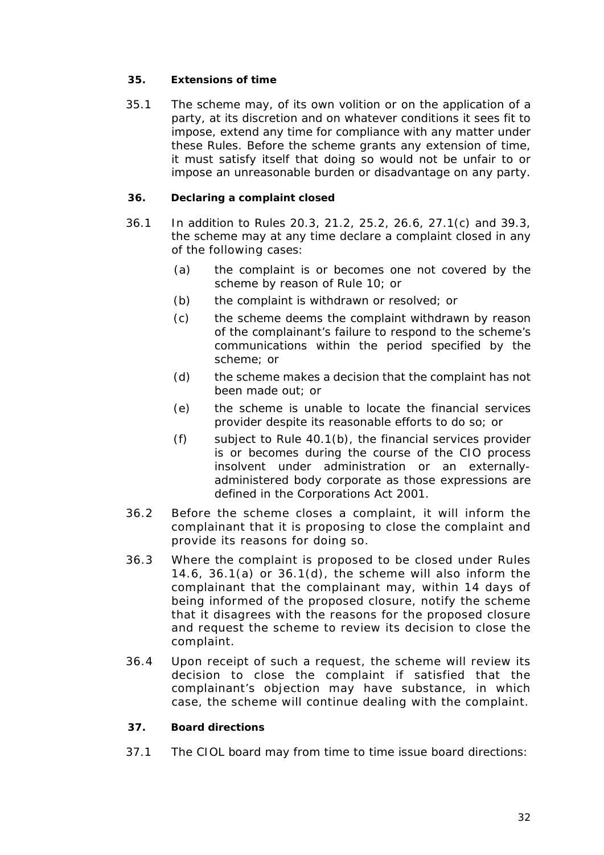# <span id="page-32-0"></span>**35. Extensions of time**

35.1 The *scheme* may, of its own volition or on the application of a party, at its discretion and on whatever conditions it sees fit to impose, extend any time for compliance with any matter under *these Rules*. Before the *scheme* grants any extension of time, it must satisfy itself that doing so would not be unfair to or impose an unreasonable burden or disadvantage on any party.

# <span id="page-32-1"></span>**36. Declaring a complaint closed**

- 36.1 In addition to *Rules* 20.3, 21.2, 25.2, 26.6, 27.1(c) and 39.3, the *scheme* may at any time declare a *complaint* closed in any of the following cases:
	- (a) the *complaint* is or becomes one not covered by the *scheme* by reason of *Rule* 10; or
	- (b) the *complaint* is withdrawn or resolved; or
	- (c) the *scheme* deems the *complaint* withdrawn by reason of the *complainant*'s failure to respond to the *scheme*'s communications within the period specified by the *scheme*; or
	- (d) the *scheme* makes a *decision* that the *complaint* has not been made out; or
	- (e) the *scheme* is unable to locate the *financial services provider* despite its reasonable efforts to do so; or
	- (f) subject to *Rule* 40.1(b), the *financial services provider* is or becomes during the course of the *CIO process* insolvent under administration or an externallyadministered body corporate as those expressions are defined in the Corporations Act 2001.
- 36.2 Before the *scheme* closes a *complaint*, it will inform the *complainant* that it is proposing to close the *complaint* and provide its reasons for doing so.
- 36.3 Where the *complaint* is proposed to be closed under *Rules* 14.6, 36.1(a) or 36.1(d), the *scheme* will also inform the *complainant* that the *complainant* may, within 14 days of being informed of the proposed closure, notify the *scheme* that it disagrees with the reasons for the proposed closure and request the *scheme* to review its *decision* to close the *complaint*.
- 36.4 Upon receipt of such a request, the *scheme* will review its *decision* to close the *complaint* if satisfied that the *complainant*'s objection may have substance, in which case, the *scheme* will continue *dealing with* the *complaint*.

# <span id="page-32-2"></span>**37. Board directions**

37.1 The *CIOL board* may from time to time issue *board direction*s: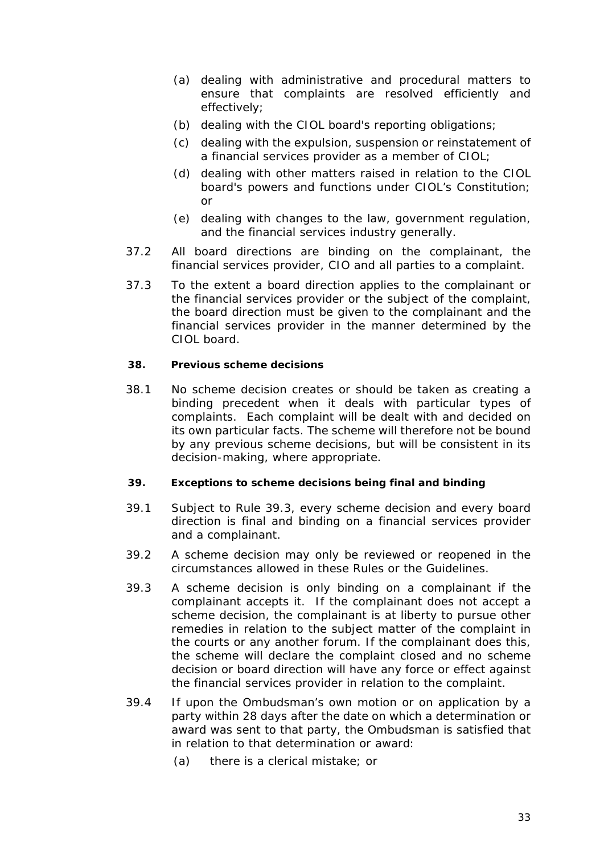- (a) dealing with administrative and procedural matters to ensure that *complaint*s are resolved efficiently and effectively;
- (b) dealing with the *CIOL board's* reporting obligations;
- (c) dealing with the expulsion, suspension or reinstatement of a *financial services provider* as a member of *CIOL*;
- (d) dealing with other matters raised in relation to the *CIOL board's* powers and functions under *CIOL*'s Constitution; or
- (e) dealing with changes to the law, government regulation, and the *financial services industry* generally.
- 37.2 All *board direction*s are binding on the *complainant*, the *financial services provider*, *CIO* and all parties to a *complaint*.
- 37.3 To the extent a *board direction* applies to the *complainant* or the *financial services provider* or the subject of the *complaint*, the *board direction* must be given to the *complainant* and the *financial services provider* in the manner determined by the *CIOL board*.

#### <span id="page-33-0"></span>**38. Previous scheme decisions**

38.1 No *scheme decision* creates or should be taken as creating a binding precedent when it *deals with* particular types of *complaint*s. Each *complaint* will be *dealt with* and decided on its own particular facts. The *scheme* will therefore not be bound by any previous *scheme decisions*, but will be consistent in its decision-making, where appropriate.

#### <span id="page-33-1"></span>**39. Exceptions to scheme decisions being final and binding**

- 39.1 Subject to *Rule* 39.3, every *scheme decision* and every *board direction* is final and binding on a *financial services provider* and a *complainant*.
- 39.2 A *scheme decision* may only be reviewed or reopened in the circumstances allowed in *these Rules* or the *Guidelines*.
- 39.3 A *scheme decision* is only binding on a *complainant* if the *complainant* accepts it. If the *complainant* does not accept a *scheme decision*, the *complainant* is at liberty to pursue other remedies in relation to the subject matter of the *complaint* in the courts or any another forum. If the *complainant* does this, the *scheme* will declare the *complaint* closed and no *scheme decision* or *board direction* will have any force or effect against the *financial services provider* in relation to the *complaint*.
- 39.4 If upon the *Ombudsman*'s own motion or on application by a party within 28 days after the date on which a *determination* or *award* was sent to that party, the *Ombudsman* is satisfied that in relation to that *determination* or *award*:
	- (a) there is a clerical mistake; or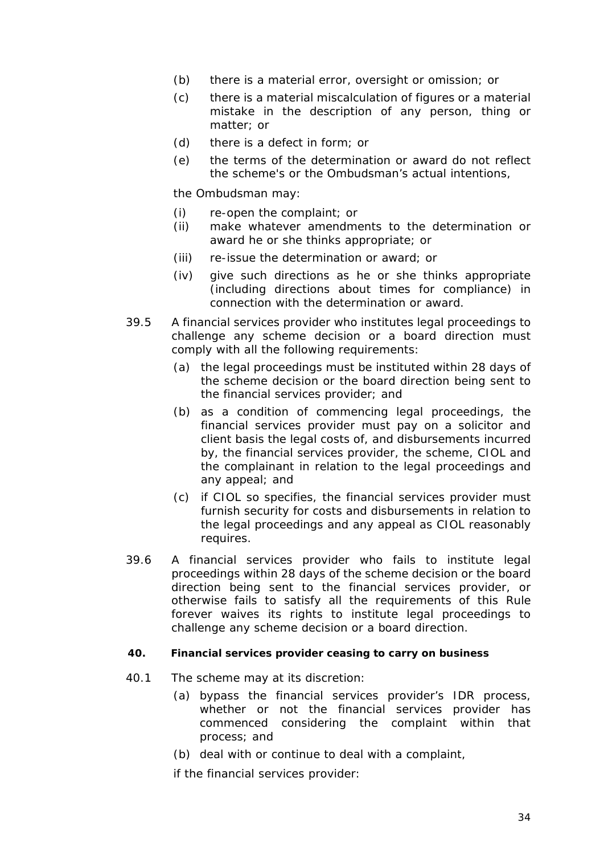- (b) there is a material error, oversight or omission; or
- (c) there is a material miscalculation of figures or a material mistake in the description of any person, thing or matter; or
- (d) there is a defect in form; or
- (e) the terms of the *determination* or *award* do not reflect the *scheme's* or the *Ombudsman*'s actual intentions,

the *Ombudsman* may:

- (i) re-open the *complaint*; or
- (ii) make whatever amendments to the *determination* or *award* he or she thinks appropriate; or
- (iii) re-issue the *determination* or *award*; or
- (iv) give such directions as he or she thinks appropriate (including directions about times for compliance) in connection with the *determination* or *award*.
- 39.5 A *financial services provider* who institutes legal proceedings to challenge any *scheme decision* or a *board direction* must comply with all the following requirements:
	- (a) the legal proceedings must be instituted within 28 days of the *scheme decision* or the *board direction* being sent to the *financial services provider*; and
	- (b) as a condition of commencing legal proceedings, the *financial services provider* must pay on a solicitor and client basis the legal costs of, and disbursements incurred by, the *financial services provider*, the *scheme*, *CIOL* and the *complainant* in relation to the legal proceedings and any appeal; and
	- (c) if *CIOL* so specifies, the *financial services provider* must furnish security for costs and disbursements in relation to the legal proceedings and any appeal as *CIOL* reasonably requires.
- 39.6 A *financial services provider* who fails to institute legal proceedings within 28 days of the *scheme decision* or the *board direction* being sent to the *financial services provider,* or otherwise fails to satisfy all the requirements of this *Rule*  forever waives its rights to institute legal proceedings to challenge any *scheme decision* or a *board direction*.

#### <span id="page-34-0"></span>**40. Financial services provider ceasing to carry on business**

- 40.1 The *scheme* may at its discretion:
	- (a) bypass the *financial services provider*'s *IDR* process, whether or not the *financial services provider* has commenced considering the *complaint* within that process; and
	- (b) *deal with* or continue to *deal with* a *complaint*,

if the *financial services provider*: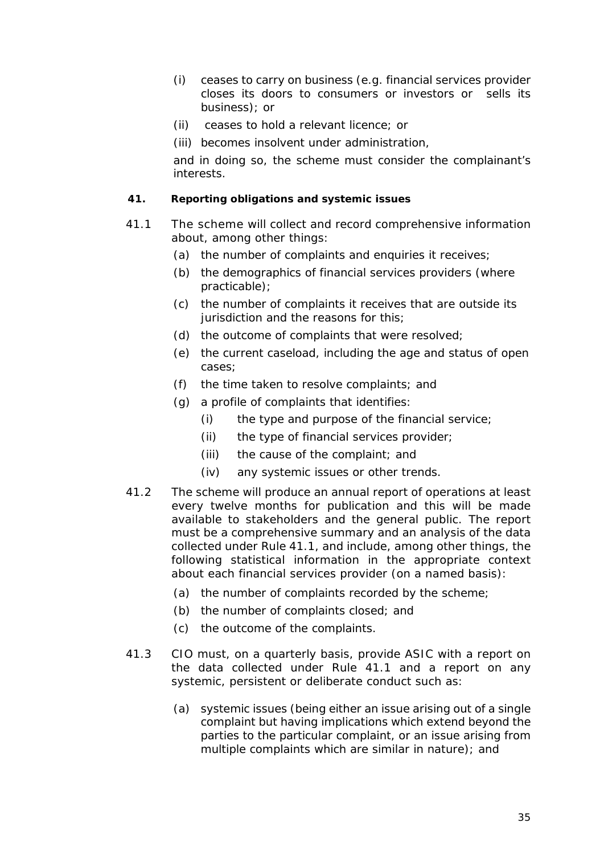- (i) ceases to carry on business (e.g. *financial services provider* closes its doors to consumers or investors or sells its business); or
- (ii) ceases to hold a *relevant licence*; or
- (iii) becomes insolvent under administration,

and in doing so, the *scheme* must consider the *complainant*'s interests.

### <span id="page-35-0"></span>**41. Reporting obligations and systemic issues**

- 41.1 The *scheme* will collect and record comprehensive information about, among other things:
	- (a) the number of *complaint*s and enquiries it receives;
	- (b) the demographics of *financial services provider*s (where practicable);
	- (c) the number of *complaint*s it receives that are outside its jurisdiction and the reasons for this;
	- (d) the outcome of *complaint*s that were resolved;
	- (e) the current caseload, including the age and status of open cases;
	- (f) the time taken to resolve *complaint*s; and
	- (g) a profile of *complaint*s that identifies:
		- (i) the type and purpose of the *financial service*;
		- (ii) the type of *financial services provider*;
		- (iii) the cause of the *complaint*; and
		- (iv) any systemic issues or other trends.
- 41.2 The *scheme* will produce an annual report of operations at least every twelve months for publication and this will be made available to stakeholders and the general public. The report must be a comprehensive summary and an analysis of the data collected under *Rule* 41.1, and include, among other things, the following statistical information in the appropriate context about each *financial services provider* (on a named basis):
	- (a) the number of *complaint*s recorded by the *scheme*;
	- (b) the number of *complaint*s closed; and
	- (c) the outcome of the *complaint*s.
- 41.3 *CIO* must, on a quarterly basis, provide *ASIC* with a report on the data collected under *Rule* 41.1 and a report on any systemic, persistent or deliberate conduct such as:
	- (a) systemic issues (being either an issue arising out of a single *complaint* but having implications which extend beyond the parties to the particular *complaint*, or an issue arising from multiple *complaints* which are similar in nature); and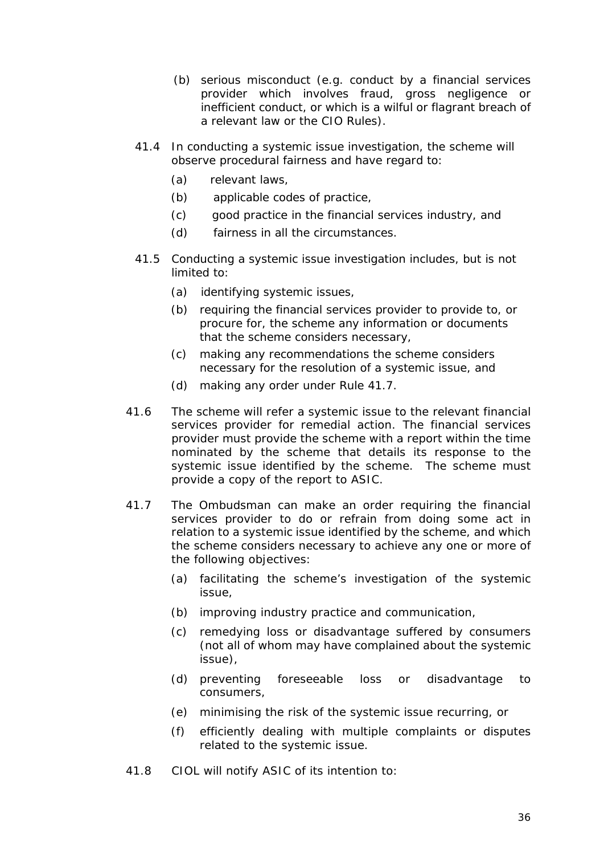- (b) serious misconduct (e.g. conduct by a *financial services provider* which involves fraud, gross negligence or inefficient conduct, or which is a wilful or flagrant breach of a relevant law or the *CIO Rules*).
- 41.4 In *conducting a systemic issue investigation*, the *scheme* will observe procedural fairness and have regard to:
	- (a) relevant laws,
	- (b) *applicable codes of practice*,
	- (c) good practice in the *financial services industry*, and
	- (d) fairness in all the circumstances.
- 41.5 *Conducting a systemic issue investigation* includes, but is not limited to:
	- (a) identifying systemic issues,
	- (b) requiring the *financial services provider* to provide to, or procure for, the *scheme* any information or documents that the *scheme* considers necessary,
	- (c) making any recommendations the *scheme* considers necessary for the resolution of a systemic issue, and
	- (d) making any *order* under *Rule* 41.7.
- 41.6 The *scheme* will refer a systemic issue to the relevant *financial services provider* for remedial action. The *financial services provider* must provide the *scheme* with a report within the time nominated by *the scheme* that details its response to the systemic issue identified by the *scheme*. The *scheme* must provide a copy of the report to *ASIC*.
- 41.7 The *Ombudsman* can make an *order* requiring the *financial services provider* to do or refrain from doing some act in relation to a systemic issue identified by the *scheme*, and which the *scheme* considers necessary to achieve any one or more of the following objectives:
	- (a) facilitating the *scheme's* investigation of the systemic issue,
	- (b) improving industry practice and communication,
	- (c) remedying loss or disadvantage suffered by consumers (not all of whom may have complained about the systemic issue),
	- (d) preventing foreseeable loss or disadvantage to consumers,
	- (e) minimising the risk of the systemic issue recurring, or
	- (f) efficiently dealing with multiple complaints or disputes related to the systemic issue.
- 41.8 *CIOL* will notify *ASIC* of its intention to: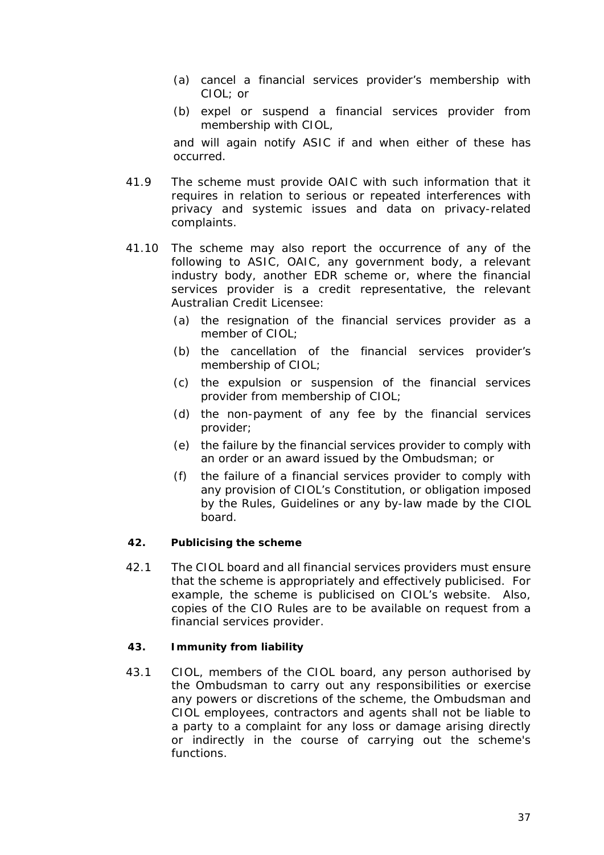- (a) cancel a *financial services provider*'s membership with *CIOL*; or
- (b) expel or suspend a *financial services provider* from membership with *CIOL*,

and will again notify *ASIC* if and when either of these has occurred.

- 41.9 The *scheme* must provide *OAIC* with such information that it requires in relation to serious or repeated interferences with privacy and systemic issues and data on privacy-related *complaints*.
- 41.10 The *scheme* may also report the occurrence of any of the following to *ASIC*, *OAIC*, any government body, a relevant industry body, another *EDR scheme* or, where the *financial services provider* is a *credit representative*, the relevant *Australian Credit Licensee*:
	- (a) the resignation of the *financial services provider* as a member of *CIOL*;
	- (b) the cancellation of the *financial services provider*'s membership of *CIOL*;
	- (c) the expulsion or suspension of the *financial services provider* from membership of *CIOL*;
	- (d) the non-payment of any fee by the *financial services provider*;
	- (e) the failure by the *financial services provider* to comply with an *order* or an *award* issued by the *Ombudsman*; or
	- (f) the failure of a *financial services provider* to comply with any provision of *CIOL*'s Constitution, or obligation imposed by the *Rules*, *Guidelines* or any by-law made by the *CIOL board*.

# <span id="page-37-0"></span>**42. Publicising the scheme**

42.1 The *CIOL board* and all *financial services provider*s must ensure that the *scheme* is appropriately and effectively publicised. For example, the *scheme* is publicised on *CIOL*'s *website*. Also, copies of the *CIO Rules* are to be available on request from a *financial services provider*.

#### <span id="page-37-1"></span>**43. Immunity from liability**

43.1 *CIOL*, members of the *CIOL board*, any person authorised by the *Ombudsman* to carry out any responsibilities or exercise any powers or discretions of the *scheme,* the *Ombudsman* and *CIOL* employees, contractors and agents shall not be liable to a party to a *complaint* for any loss or damage arising directly or indirectly in the course of carrying out the *scheme's* functions.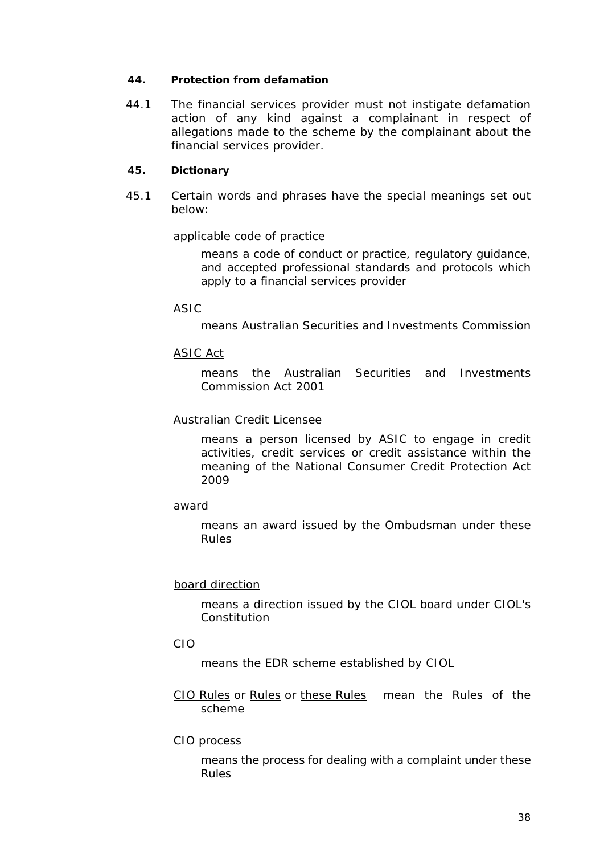#### <span id="page-38-0"></span>**44. Protection from defamation**

44.1 The *financial services provider* must not instigate defamation action of any kind against a *complainant* in respect of allegations made to the *scheme* by the *complainant* about the *financial services provider*.

# <span id="page-38-1"></span>**45. Dictionary**

45.1 Certain words and phrases have the special meanings set out below:

# *applicable code of practice*

means a code of conduct or practice, regulatory guidance, and accepted professional standards and protocols which apply to a *financial services provider*

# *ASIC*

means Australian Securities and Investments Commission

# *ASIC Act*

means the Australian Securities and Investments Commission Act 2001

# *Australian Credit Licensee*

means a person licensed by *ASIC* to engage in credit activities, credit services or credit assistance within the meaning of the National Consumer Credit Protection Act 2009

#### *award*

means an award issued by the *Ombudsman* under *these Rules*

#### *board direction*

means a direction issued by the CIOL board under CIOL's **Constitution** 

### *CIO*

means the *EDR scheme* established by *CIOL*

*CIO Rules* or *Rules* or *these Rules* mean the Rules of the *scheme*

#### *CIO process*

means the process for *dealing with* a *complaint* under *these Rules*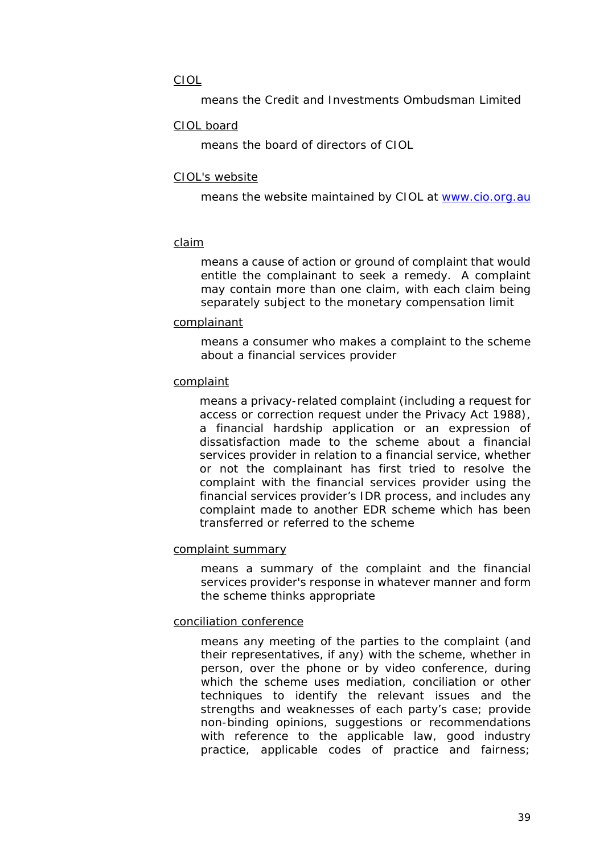# *CIOL*

means the Credit and Investments Ombudsman Limited

# *CIOL board*

means the board of directors of *CIOL*

# *CIOL's website*

means the website maintained by *CIOL* at [www.cio.org.au](http://www.cio.org.au/)

# *claim*

means a cause of action or ground of complaint that would entitle the *complainant* to seek a remedy. A *complaint* may contain more than one *claim,* with each *claim* being separately subject to the *monetary compensation limit*

#### *complainant*

means a *consumer* who makes a *complaint* to the *scheme* about a *financial services provider*

# *complaint*

means a privacy-related *complaint* (including a request for access or correction request under the Privacy Act 1988), a *financial hardship application* or an expression of dissatisfaction made to the *scheme* about a *financial services provider* in relation to a *financial service*, whether or not the *complainant* has first tried to resolve the *complaint* with the *financial services provider* using the *financial services provider*'s *IDR* process, and includes any *complaint* made to another *EDR scheme* which has been transferred or referred to the *scheme*

#### *complaint summary*

means a summary of the *complaint* and the *financial services provider*'s response in whatever manner and form the *scheme* thinks appropriate

#### *conciliation conference*

means any meeting of the parties to the *complaint* (and their representatives, if any) with the *scheme*, whether in person, over the phone or by video conference, during which the *scheme* uses mediation, conciliation or other techniques to identify the relevant issues and the strengths and weaknesses of each party's case; provide non-binding opinions, suggestions or recommendations with reference to the applicable law, good industry practice, *applicable codes of practice* and fairness;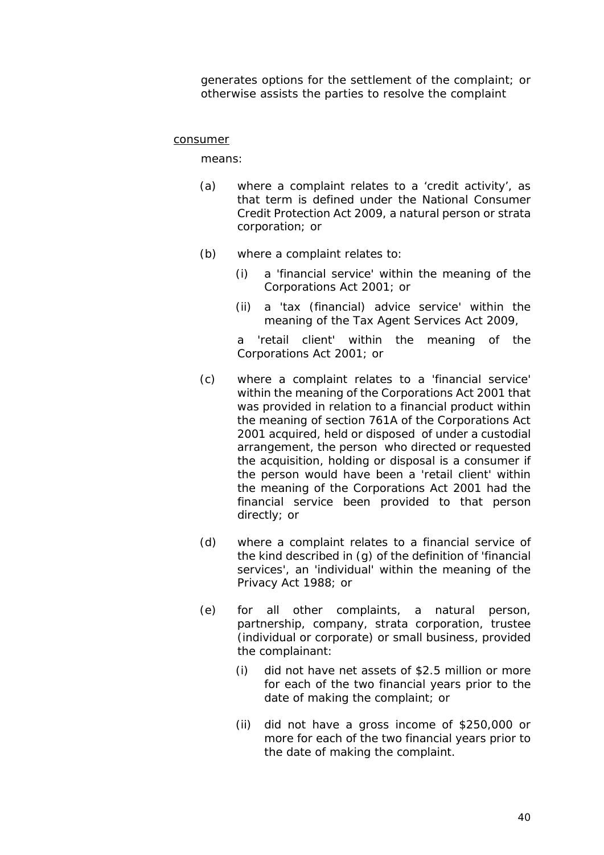generates options for the settlement of the *complaint*; or otherwise assists the parties to resolve the *complaint*

#### *consumer*

means:

- (a) where a *complaint* relates to a 'credit activity', as that term is defined under the National Consumer Credit Protection Act 2009, a *natural person* or strata corporation; or
- (b) where a *complaint* relates to:
	- (i) a 'financial service' within the meaning of the Corporations Act 2001; or
	- (ii) a 'tax (financial) advice service' within the meaning of the Tax Agent Services Act 2009,

a 'retail client' within the meaning of the Corporations Act 2001; or

- (c) where a *complaint* relates to a 'financial service' within the meaning of the Corporations Act 2001 that was provided in relation to a financial product within the meaning of section 761A of the Corporations Act 2001 acquired, held or disposed of under a *custodial arrangement,* the person who directed or requested the acquisition, holding or disposal is a *consumer* if the person would have been a 'retail client' within the meaning of the Corporations Act 2001 had the financial service been provided to that person directly; or
- (d) where a *complaint* relates to a *financial service* of the kind described in (g) of the definition of *'financial services'*, an 'individual' within the meaning of the Privacy Act 1988; or
- (e) for all other *complaints*, a *natural person, partnership*, company, strata corporation, trustee (*individual* or corporate) or *small business*, provided the *complainant*:
	- (i) did not have net assets of \$2.5 million or more for each of the two financial years prior to the date of making the complaint; or
	- (ii) did not have a gross income of \$250,000 or more for each of the two financial years prior to the date of making the *complaint*.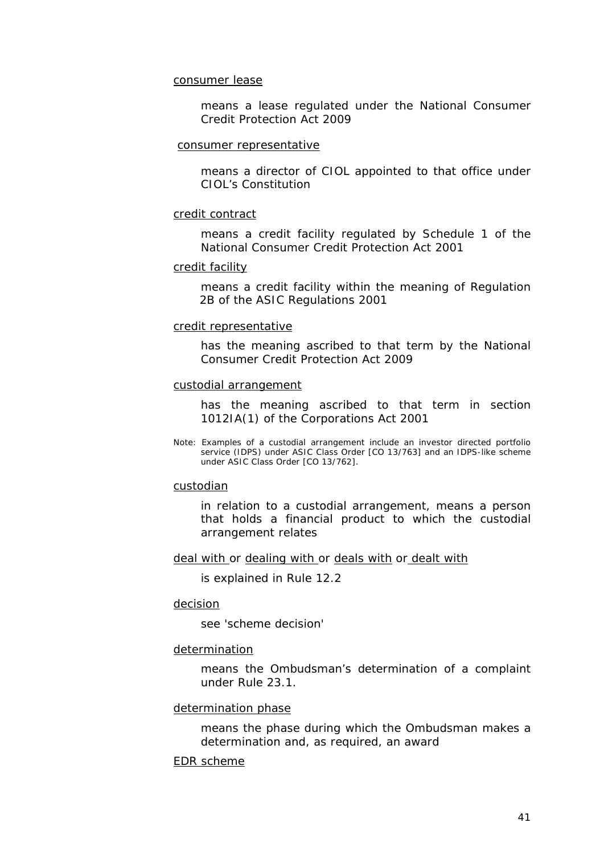*consumer lease*

means a lease regulated under the National Consumer Credit Protection Act 2009

*consumer representative*

means a director of *CIOL* appointed to that office under *CIOL*'s Constitution

#### *credit contract*

means a *credit facility* regulated by Schedule 1 of the National Consumer Credit Protection Act 2001

#### *credit facility*

means a credit facility within the meaning of Regulation 2B of the ASIC Regulations 2001

#### *credit representative*

has the meaning ascribed to that term by the National Consumer Credit Protection Act 2009

#### *custodial arrangement*

has the meaning ascribed to that term in section 1012IA(1) of the Corporations Act 2001

Note: Examples of a *custodial arrangement* include an investor directed portfolio service (IDPS) under *ASIC* Class Order [CO 13/763] and an IDPS-like scheme under *ASIC* Class Order [CO 13/762].

#### *custodian*

in relation to a *custodial arrangement*, means a person that holds a financial product to which the *custodial arrangement* relates

*deal with* or *dealing with* or *deals with* or *dealt with*

is explained in *Rule* 12.2

#### *decision*

see '*scheme decision'*

#### *determination*

means the *Ombudsman*'s determination of a *complaint* under *Rule* 23.1.

#### *determination phase*

means the phase during which the *Ombudsman* makes a *determination* and, as required, an *award*

#### *EDR scheme*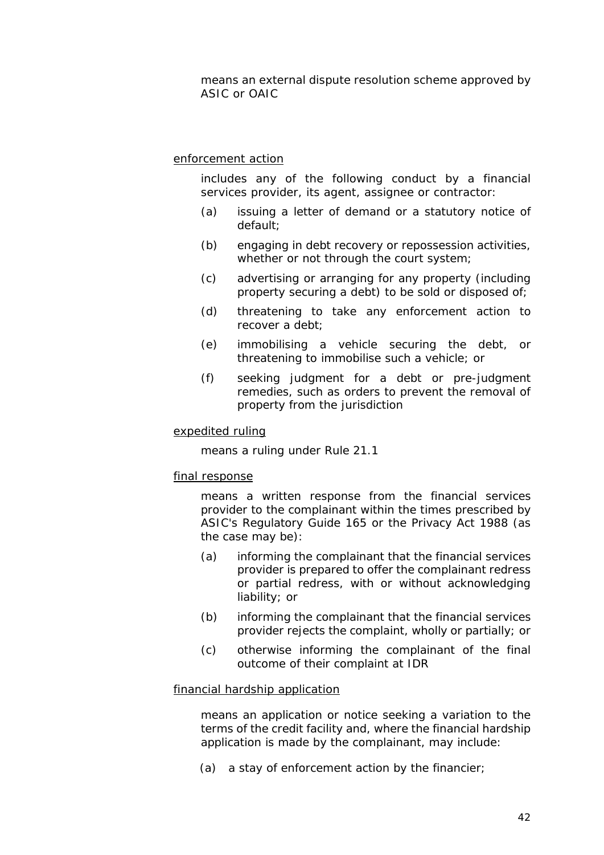means an external dispute resolution scheme approved by *ASIC* or *OAIC*

#### *enforcement action*

includes any of the following conduct by a *financial services provider*, its agent, assignee or contractor:

- (a) issuing a letter of demand or a statutory notice of default;
- (b) engaging in debt recovery or repossession activities, whether or not through the court system;
- (c) advertising or arranging for any property (including property securing a debt) to be sold or disposed of;
- (d) threatening to take any *enforcement action* to recover a debt;
- (e) immobilising a vehicle securing the debt, or threatening to immobilise such a vehicle; or
- (f) seeking judgment for a debt or pre-judgment remedies, such as orders to prevent the removal of property from the jurisdiction

#### *expedited ruling*

means a ruling under *Rule* 21.1

#### *final response*

means a written response from the *financial services provider* to the *complainant* within the times prescribed by *ASIC*'s Regulatory Guide 165 or the Privacy Act 1988 (as the case may be):

- (a) informing the *complainant* that the *financial services provider* is prepared to offer the *complainant* redress or partial redress, with or without acknowledging liability; or
- (b) informing the *complainant* that the *financial services provider* rejects the *complaint*, wholly or partially; or
- (c) otherwise informing the *complainant* of the final outcome of their *complaint* at *IDR*

#### *financial hardship application*

means an application or notice seeking a variation to the terms of the *credit facility* and, where the *financial hardship application* is made by the *complainant,* may include:

(a) a stay of *enforcement action* by the *financier*;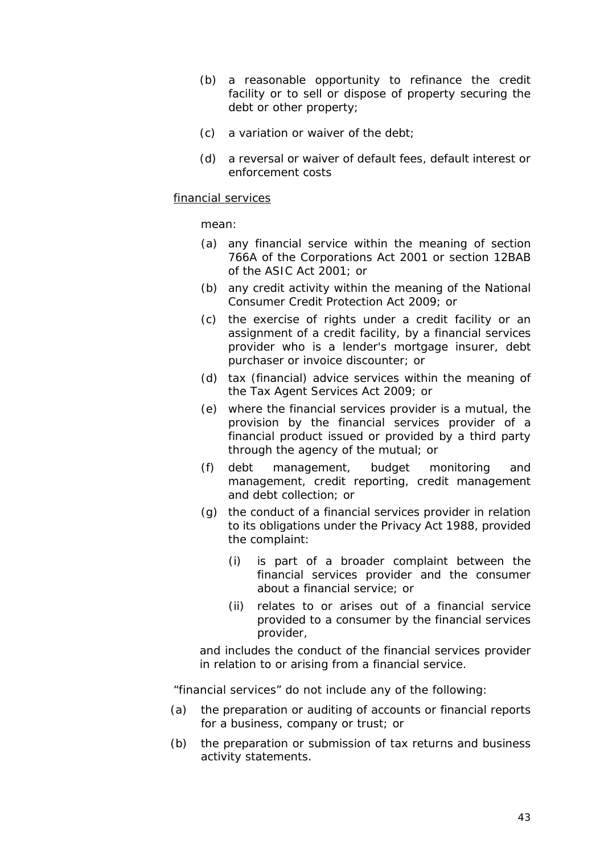- (b) a reasonable opportunity to refinance the *credit facility* or to sell or dispose of property securing the debt or other property;
- (c) a variation or waiver of the debt;
- (d) a reversal or waiver of default fees, default interest or enforcement costs

# *financial services*

mean:

- (a) any financial service within the meaning of section 766A of the Corporations Act 2001 or section 12BAB of the ASIC Act 2001; or
- (b) any credit activity within the meaning of the National Consumer Credit Protection Act 2009; or
- (c) the exercise of rights under a *credit facility* or an assignment of a *credit facility*, by a *financial services provider* who is a lender's mortgage insurer, debt purchaser or invoice discounter; or
- (d) tax (financial) advice services within the meaning of the Tax Agent Services Act 2009; or
- (e) where the *financial services provider* is a mutual, the provision by the *financial services provider* of a financial product issued or provided by a third party through the agency of the mutual; or
- (f) debt management, budget monitoring and management, credit reporting, credit management and debt collection; or
- (g) the conduct of a *financial services provider* in relation to its obligations under the Privacy Act 1988, provided the *complaint:*
	- (i) is part of a broader *complaint* between the *financial services provider* and the *consumer* about a *financial service;* or
	- (ii) relates to or arises out of a *financial service* provided to a *consumer* by the *financial services provider*,

and includes the conduct of the *financial services provider* in relation to or arising from a *financial service*.

"*financial services*" do not include any of the following:

- (a) the preparation or auditing of accounts or financial reports for a business, company or trust; or
- (b) the preparation or submission of tax returns and business activity statements.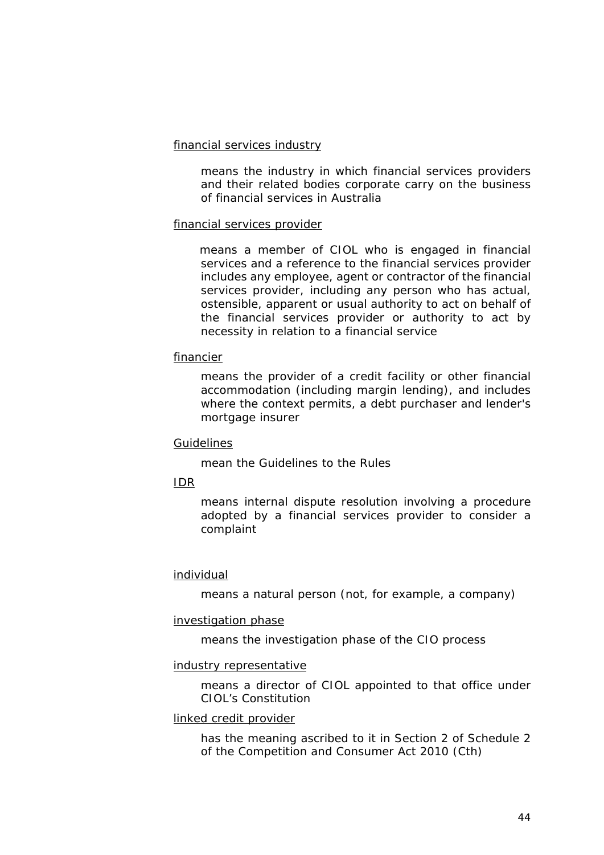#### *financial services industry*

means the industry in which *financial services providers* and their related bodies corporate carry on the business of *financial services* in Australia

# *financial services provider*

means a member of *CIOL* who is engaged in *financial services* and a reference to the *financial services provider* includes any employee, agent or contractor of the *financial services provider*, including any person who has actual, ostensible, apparent or usual authority to act on behalf of the *financial services provider* or authority to act by necessity in relation to a *financial service*

# *financier*

means the provider of a *credit facility* or other financial accommodation (including margin lending), and includes where the context permits, a debt purchaser and lender's mortgage insurer

#### *Guidelines*

mean the Guidelines to the *Rules*

# *IDR*

means internal dispute resolution involving a procedure adopted by a *financial services provider* to consider a *complaint*

# *individual*

means a *natural person* (not, for example, a company)

#### *investigation phase*

means the investigation phase of the *CIO process*

# *industry representative*

means a director of *CIOL* appointed to that office under *CIOL*'s Constitution

# *linked credit provider*

has the meaning ascribed to it in Section 2 of Schedule 2 of the Competition and Consumer Act 2010 (Cth)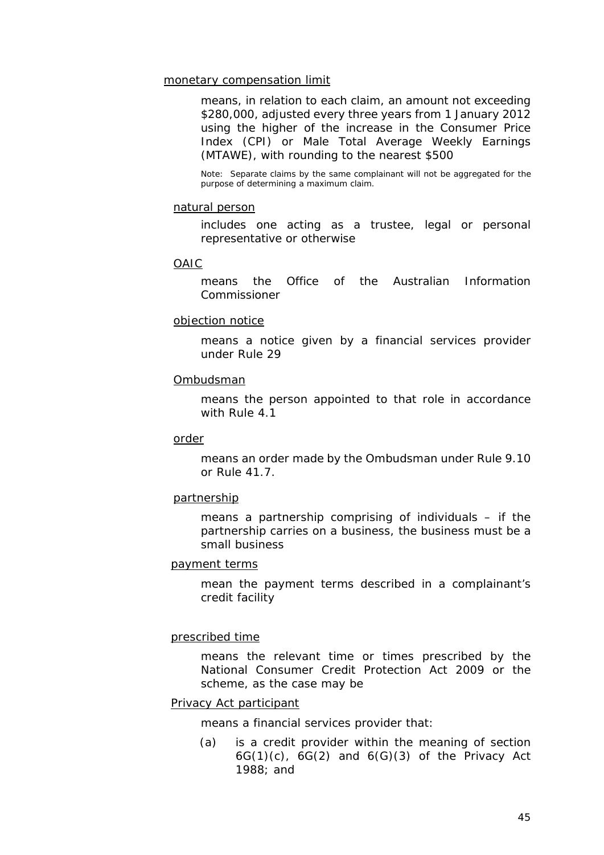#### *monetary compensation limit*

means, in relation to each *claim*, an amount not exceeding \$280,000, adjusted every three years from 1 January 2012 using the higher of the increase in the Consumer Price Index (CPI) or Male Total Average Weekly Earnings (MTAWE), with rounding to the nearest \$500

Note: Separate *claim*s by the same *complainant* will not be aggregated for the purpose of determining a maximum *claim*.

#### *natural person*

includes one acting as a trustee, legal or personal representative or otherwise

#### *OAIC*

means the Office of the Australian Information Commissioner

#### *objection notice*

means a notice given by a *financial services provider* under *Rule* 29

#### *Ombudsman*

means the person appointed to that role in accordance with *Rule* 4.1

#### *order*

means an *order* made by the *Ombudsman* under *Rule* 9.10 or *Rule* 41.7.

#### *partnership*

means a partnership comprising of individuals – if the *partnership* carries on a business, the business must be a *small business*

#### *payment terms*

mean the payment terms described in a *complainant*'s *credit facility*

#### *prescribed time*

means the relevant time or times prescribed by the National Consumer Credit Protection Act 2009 or the *scheme*, as the case may be

#### *Privacy Act participant*

means a *financial services provider* that:

(a) is a credit provider within the meaning of section  $6G(1)(c)$ ,  $6G(2)$  and  $6(G)(3)$  of the Privacy Act 1988; and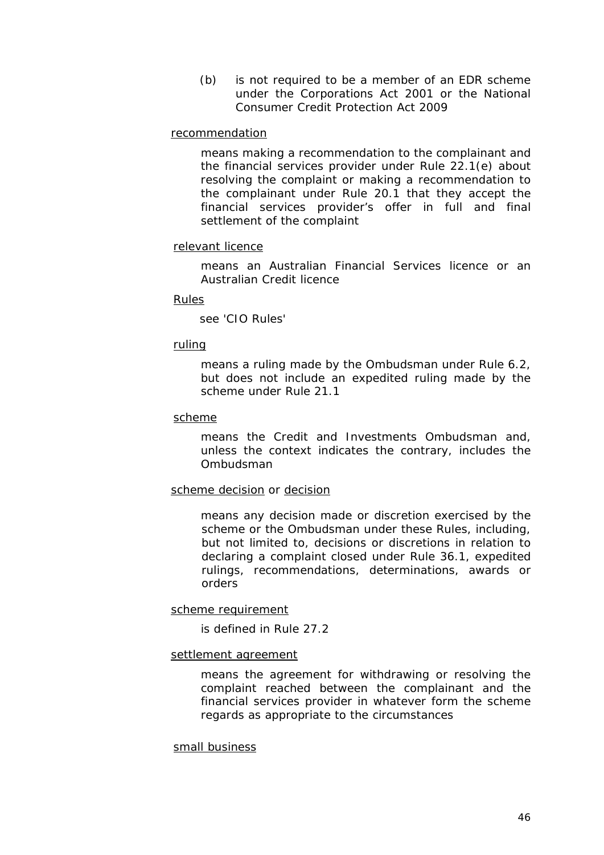(b) is not required to be a member of an *EDR scheme* under the Corporations Act 2001 or the National Consumer Credit Protection Act 2009

#### *recommendation*

means making a recommendation to the *complainant* and the *financial services provider* under *Rule* 22.1(e) about resolving the *complaint* or making a recommendation to the *complainant* under *Rule* 20.1 that they accept the *financial services provider's* offer in full and final settlement of the *complaint*

# *relevant licence*

means an Australian Financial Services licence or an Australian Credit licence

#### *Rules*

see '*CIO Rules*'

#### *ruling*

means a ruling made by the *Ombudsman* under *Rule* 6.2, but does not include an *expedited ruling* made by the *scheme* under *Rule* 21.1

#### *scheme*

means the *Credit and Investments Ombudsman* and, unless the context indicates the contrary, includes the *Ombudsman*

#### *scheme decision* or *decision*

means any decision made or discretion exercised by the *scheme* or the *Ombudsman* under *these Rules*, including, but not limited to, decisions or discretions in relation to declaring a *complaint* closed under *Rule* 36.1, *expedited ruling*s, *recommendation*s, *determination*s, *award*s or *order*s

#### *scheme requirement*

is defined in *Rule* 27.2

#### *settlement agreement*

means the agreement for withdrawing or resolving the *complaint* reached between the *complainant* and the *financial services provider* in whatever form the *scheme* regards as appropriate to the circumstances

#### *small business*